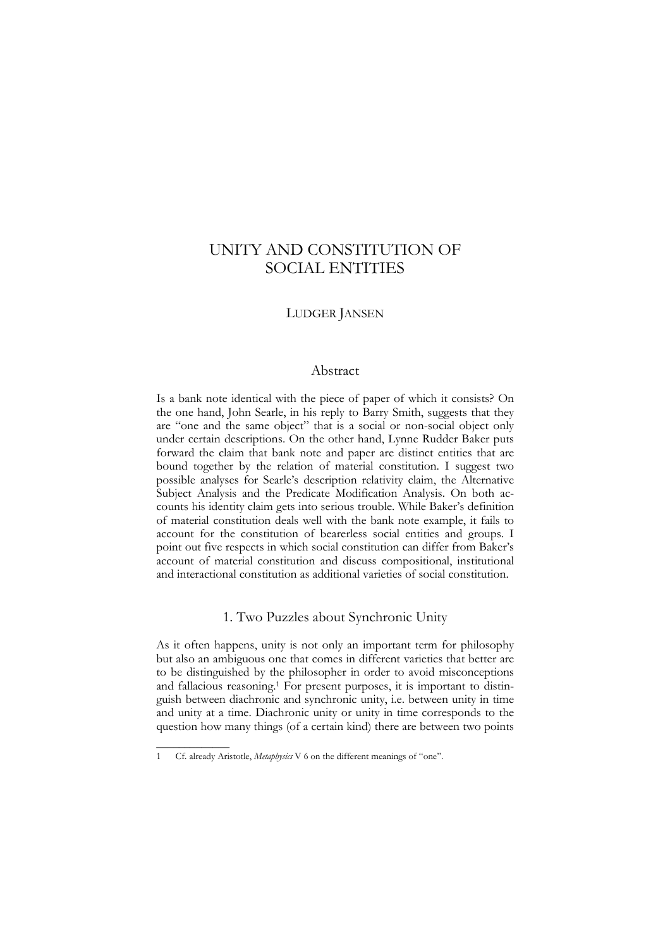# UNITY AND CONSTITUTION OF SOCIAL ENTITIES

# LUDGER JANSEN

# Abstract

Is a bank note identical with the piece of paper of which it consists? On the one hand, John Searle, in his reply to Barry Smith, suggests that they are "one and the same object" that is a social or non-social object only under certain descriptions. On the other hand, Lynne Rudder Baker puts forward the claim that bank note and paper are distinct entities that are bound together by the relation of material constitution. I suggest two possible analyses for Searle's description relativity claim, the Alternative Subject Analysis and the Predicate Modification Analysis. On both accounts his identity claim gets into serious trouble. While Baker's definition of material constitution deals well with the bank note example, it fails to account for the constitution of bearerless social entities and groups. I point out five respects in which social constitution can differ from Baker's account of material constitution and discuss compositional, institutional and interactional constitution as additional varieties of social constitution.

# 1. Two Puzzles about Synchronic Unity

As it often happens, unity is not only an important term for philosophy but also an ambiguous one that comes in different varieties that better are to be distinguished by the philosopher in order to avoid misconceptions and fallacious reasoning.<sup>1</sup> For present purposes, it is important to distinguish between diachronic and synchronic unity, i.e. between unity in time and unity at a time. Diachronic unity or unity in time corresponds to the question how many things (of a certain kind) there are between two points

<sup>1</sup> Cf. already Aristotle, *Metaphysics* V 6 on the different meanings of "one".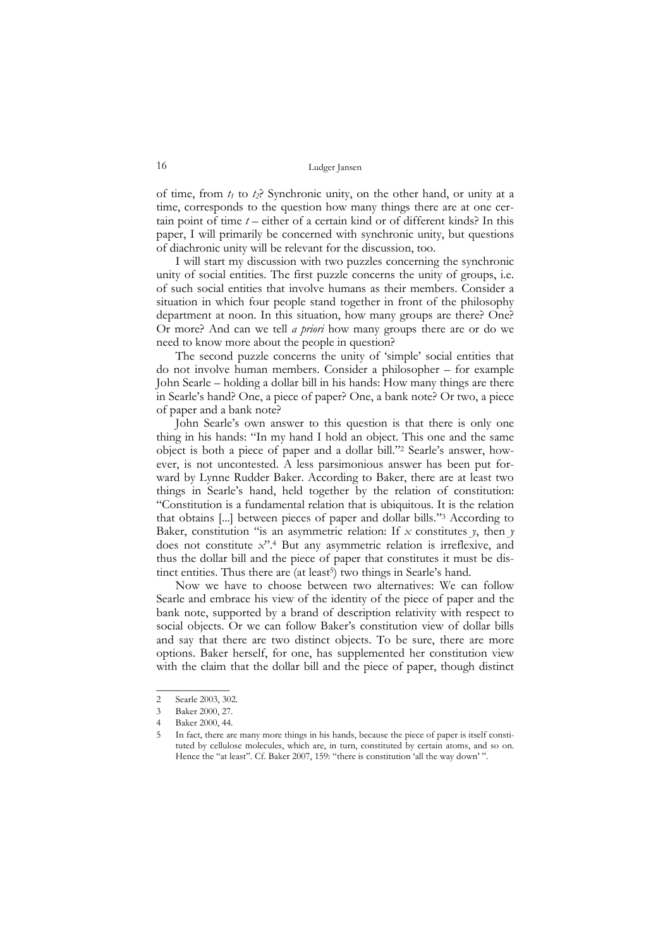of time, from  $t_1$  to  $t_2$ ? Synchronic unity, on the other hand, or unity at a time, corresponds to the question how many things there are at one certain point of time  $t$  – either of a certain kind or of different kinds? In this paper, I will primarily be concerned with synchronic unity, but questions of diachronic unity will be relevant for the discussion, too.

I will start my discussion with two puzzles concerning the synchronic unity of social entities. The first puzzle concerns the unity of groups, i.e. of such social entities that involve humans as their members. Consider a situation in which four people stand together in front of the philosophy department at noon. In this situation, how many groups are there? One? Or more? And can we tell a priori how many groups there are or do we need to know more about the people in question?

The second puzzle concerns the unity of 'simple' social entities that do not involve human members. Consider a philosopher – for example John Searle – holding a dollar bill in his hands: How many things are there in Searle's hand? One, a piece of paper? One, a bank note? Or two, a piece of paper and a bank note?

John Searle's own answer to this question is that there is only one thing in his hands: "In my hand I hold an object. This one and the same object is both a piece of paper and a dollar bill."<sup>2</sup> Searle's answer, however, is not uncontested. A less parsimonious answer has been put forward by Lynne Rudder Baker. According to Baker, there are at least two things in Searle's hand, held together by the relation of constitution: "Constitution is a fundamental relation that is ubiquitous. It is the relation that obtains [...] between pieces of paper and dollar bills."<sup>3</sup> According to Baker, constitution "is an asymmetric relation: If  $x$  constitutes  $y$ , then  $y$ does not constitute x".<sup>4</sup> But any asymmetric relation is irreflexive, and thus the dollar bill and the piece of paper that constitutes it must be distinct entities. Thus there are (at least<sup>5</sup>) two things in Searle's hand.

Now we have to choose between two alternatives: We can follow Searle and embrace his view of the identity of the piece of paper and the bank note, supported by a brand of description relativity with respect to social objects. Or we can follow Baker's constitution view of dollar bills and say that there are two distinct objects. To be sure, there are more options. Baker herself, for one, has supplemented her constitution view with the claim that the dollar bill and the piece of paper, though distinct

\_\_\_\_\_\_\_\_\_\_\_\_\_ 2 Searle 2003, 302.

<sup>3</sup> Baker 2000, 27.

<sup>4</sup> Baker 2000, 44.

<sup>5</sup> In fact, there are many more things in his hands, because the piece of paper is itself constituted by cellulose molecules, which are, in turn, constituted by certain atoms, and so on. Hence the "at least". Cf. Baker 2007, 159: "there is constitution 'all the way down'".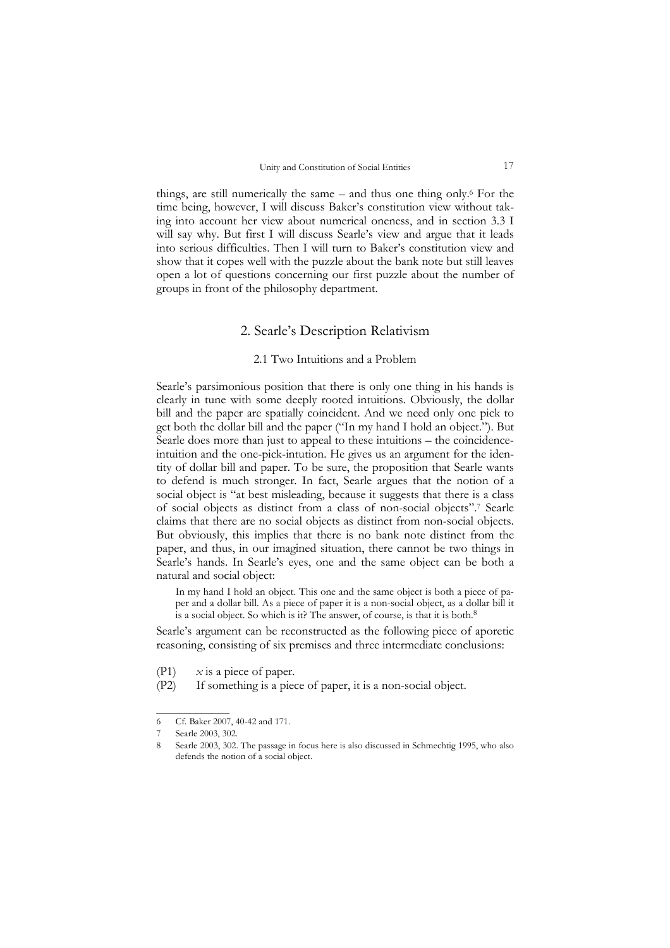things, are still numerically the same – and thus one thing only.<sup>6</sup> For the time being, however, I will discuss Baker's constitution view without taking into account her view about numerical oneness, and in section 3.3 I will say why. But first I will discuss Searle's view and argue that it leads into serious difficulties. Then I will turn to Baker's constitution view and show that it copes well with the puzzle about the bank note but still leaves open a lot of questions concerning our first puzzle about the number of groups in front of the philosophy department.

# 2. Searle's Description Relativism

#### 2.1 Two Intuitions and a Problem

Searle's parsimonious position that there is only one thing in his hands is clearly in tune with some deeply rooted intuitions. Obviously, the dollar bill and the paper are spatially coincident. And we need only one pick to get both the dollar bill and the paper ("In my hand I hold an object."). But Searle does more than just to appeal to these intuitions – the coincidenceintuition and the one-pick-intution. He gives us an argument for the identity of dollar bill and paper. To be sure, the proposition that Searle wants to defend is much stronger. In fact, Searle argues that the notion of a social object is "at best misleading, because it suggests that there is a class of social objects as distinct from a class of non-social objects".<sup>7</sup> Searle claims that there are no social objects as distinct from non-social objects. But obviously, this implies that there is no bank note distinct from the paper, and thus, in our imagined situation, there cannot be two things in Searle's hands. In Searle's eyes, one and the same object can be both a natural and social object:

In my hand I hold an object. This one and the same object is both a piece of paper and a dollar bill. As a piece of paper it is a non-social object, as a dollar bill it is a social object. So which is it? The answer, of course, is that it is both.<sup>8</sup>

Searle's argument can be reconstructed as the following piece of aporetic reasoning, consisting of six premises and three intermediate conclusions:

- $(P1)$  x is a piece of paper.
- (P2) If something is a piece of paper, it is a non-social object.

<sup>6</sup> Cf. Baker 2007, 40-42 and 171.

<sup>7</sup> Searle 2003, 302.

<sup>8</sup> Searle 2003, 302. The passage in focus here is also discussed in Schmechtig 1995, who also defends the notion of a social object.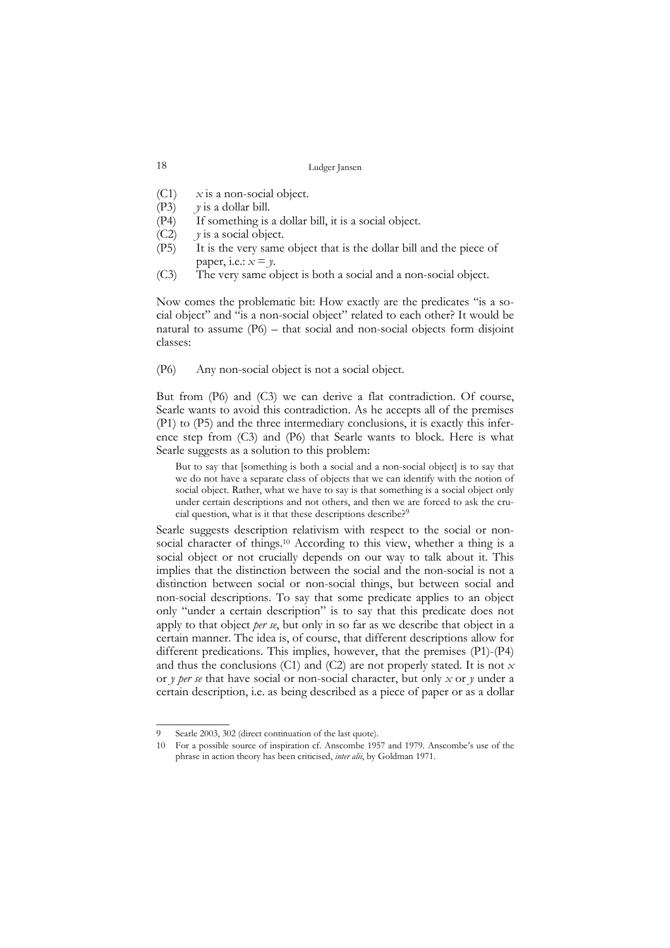- $(C1)$  x is a non-social object.
- (P3)  $y$  is a dollar bill.
- (P4) If something is a dollar bill, it is a social object.
- $(C2)$  *y* is a social object.
- (P5) It is the very same object that is the dollar bill and the piece of paper, i.e.:  $x = y$ .
- (C3) The very same object is both a social and a non-social object.

Now comes the problematic bit: How exactly are the predicates "is a social object" and "is a non-social object" related to each other? It would be natural to assume  $(P6)$  – that social and non-social objects form disjoint classes:

(P6) Any non-social object is not a social object.

But from (P6) and (C3) we can derive a flat contradiction. Of course, Searle wants to avoid this contradiction. As he accepts all of the premises (P1) to (P5) and the three intermediary conclusions, it is exactly this inference step from (C3) and (P6) that Searle wants to block. Here is what Searle suggests as a solution to this problem:

But to say that [something is both a social and a non-social object] is to say that we do not have a separate class of objects that we can identify with the notion of social object. Rather, what we have to say is that something is a social object only under certain descriptions and not others, and then we are forced to ask the crucial question, what is it that these descriptions describe?<sup>9</sup>

Searle suggests description relativism with respect to the social or nonsocial character of things.10 According to this view, whether a thing is a social object or not crucially depends on our way to talk about it. This implies that the distinction between the social and the non-social is not a distinction between social or non-social things, but between social and non-social descriptions. To say that some predicate applies to an object only "under a certain description" is to say that this predicate does not apply to that object *per se*, but only in so far as we describe that object in a certain manner. The idea is, of course, that different descriptions allow for different predications. This implies, however, that the premises (P1)-(P4) and thus the conclusions (C1) and (C2) are not properly stated. It is not  $x$ or y per se that have social or non-social character, but only x or y under a certain description, i.e. as being described as a piece of paper or as a dollar

<sup>9</sup> Searle 2003, 302 (direct continuation of the last quote).

<sup>10</sup> For a possible source of inspiration cf. Anscombe 1957 and 1979. Anscombe's use of the phrase in action theory has been criticised, inter alii, by Goldman 1971.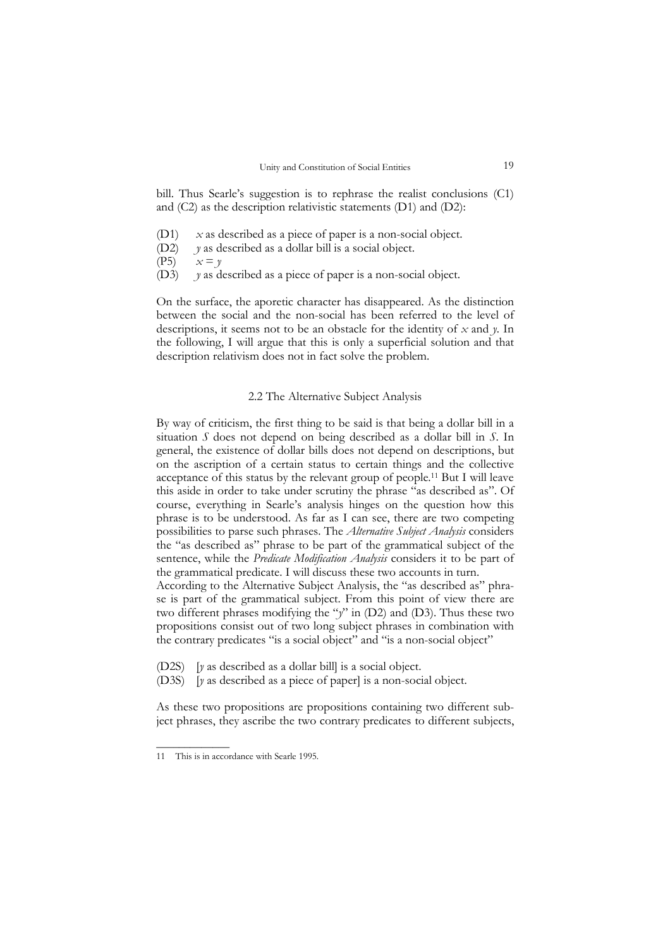bill. Thus Searle's suggestion is to rephrase the realist conclusions (C1) and (C2) as the description relativistic statements (D1) and (D2):

- (D1)  $x$  as described as a piece of paper is a non-social object.<br>(D2)  $y$  as described as a dollar bill is a social object.
- $\nu$  as described as a dollar bill is a social object.
- $(P5)$   $x = y$
- (D3)  $\gamma$  as described as a piece of paper is a non-social object.

On the surface, the aporetic character has disappeared. As the distinction between the social and the non-social has been referred to the level of descriptions, it seems not to be an obstacle for the identity of  $x$  and  $y$ . In the following, I will argue that this is only a superficial solution and that description relativism does not in fact solve the problem.

#### 2.2 The Alternative Subject Analysis

By way of criticism, the first thing to be said is that being a dollar bill in a situation S does not depend on being described as a dollar bill in S. In general, the existence of dollar bills does not depend on descriptions, but on the ascription of a certain status to certain things and the collective acceptance of this status by the relevant group of people.11 But I will leave this aside in order to take under scrutiny the phrase "as described as". Of course, everything in Searle's analysis hinges on the question how this phrase is to be understood. As far as I can see, there are two competing possibilities to parse such phrases. The Alternative Subject Analysis considers the "as described as" phrase to be part of the grammatical subject of the sentence, while the Predicate Modification Analysis considers it to be part of the grammatical predicate. I will discuss these two accounts in turn. According to the Alternative Subject Analysis, the "as described as" phra-

se is part of the grammatical subject. From this point of view there are two different phrases modifying the "y" in (D2) and (D3). Thus these two propositions consist out of two long subject phrases in combination with the contrary predicates "is a social object" and "is a non-social object"

(D2S) [y as described as a dollar bill] is a social object.

(D3S) [y as described as a piece of paper] is a non-social object.

As these two propositions are propositions containing two different subject phrases, they ascribe the two contrary predicates to different subjects,

<sup>11</sup> This is in accordance with Searle 1995.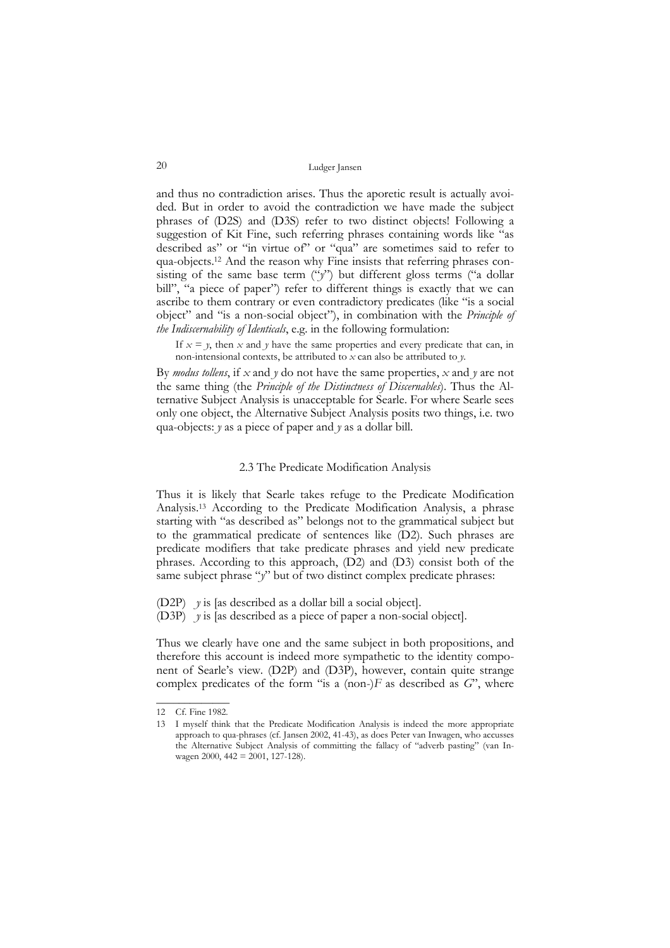and thus no contradiction arises. Thus the aporetic result is actually avoided. But in order to avoid the contradiction we have made the subject phrases of (D2S) and (D3S) refer to two distinct objects! Following a suggestion of Kit Fine, such referring phrases containing words like "as described as" or "in virtue of" or "qua" are sometimes said to refer to qua-objects.12 And the reason why Fine insists that referring phrases consisting of the same base term ("y") but different gloss terms ("a dollar bill", "a piece of paper") refer to different things is exactly that we can ascribe to them contrary or even contradictory predicates (like "is a social object" and "is a non-social object"), in combination with the Principle of the Indiscernability of Identicals, e.g. in the following formulation:

If  $x = y$ , then x and y have the same properties and every predicate that can, in non-intensional contexts, be attributed to  $x$  can also be attributed to  $y$ .

By *modus tollens*, if x and y do not have the same properties, x and y are not the same thing (the Principle of the Distinctness of Discernables). Thus the Alternative Subject Analysis is unacceptable for Searle. For where Searle sees only one object, the Alternative Subject Analysis posits two things, i.e. two qua-objects:  $y$  as a piece of paper and  $y$  as a dollar bill.

### 2.3 The Predicate Modification Analysis

Thus it is likely that Searle takes refuge to the Predicate Modification Analysis.13 According to the Predicate Modification Analysis, a phrase starting with "as described as" belongs not to the grammatical subject but to the grammatical predicate of sentences like (D2). Such phrases are predicate modifiers that take predicate phrases and yield new predicate phrases. According to this approach, (D2) and (D3) consist both of the same subject phrase "y" but of two distinct complex predicate phrases:

(D2P) y is [as described as a dollar bill a social object]. (D3P) y is [as described as a piece of paper a non-social object].

Thus we clearly have one and the same subject in both propositions, and therefore this account is indeed more sympathetic to the identity component of Searle's view. (D2P) and (D3P), however, contain quite strange complex predicates of the form "is a (non-) $F$  as described as  $G$ ", where

\_\_\_\_\_\_\_\_\_\_\_\_\_ 12 Cf. Fine 1982.

<sup>13</sup> I myself think that the Predicate Modification Analysis is indeed the more appropriate approach to qua-phrases (cf. Jansen 2002, 41-43), as does Peter van Inwagen, who accusses the Alternative Subject Analysis of committing the fallacy of "adverb pasting" (van Inwagen 2000,  $442 = 2001$ ,  $127-128$ ).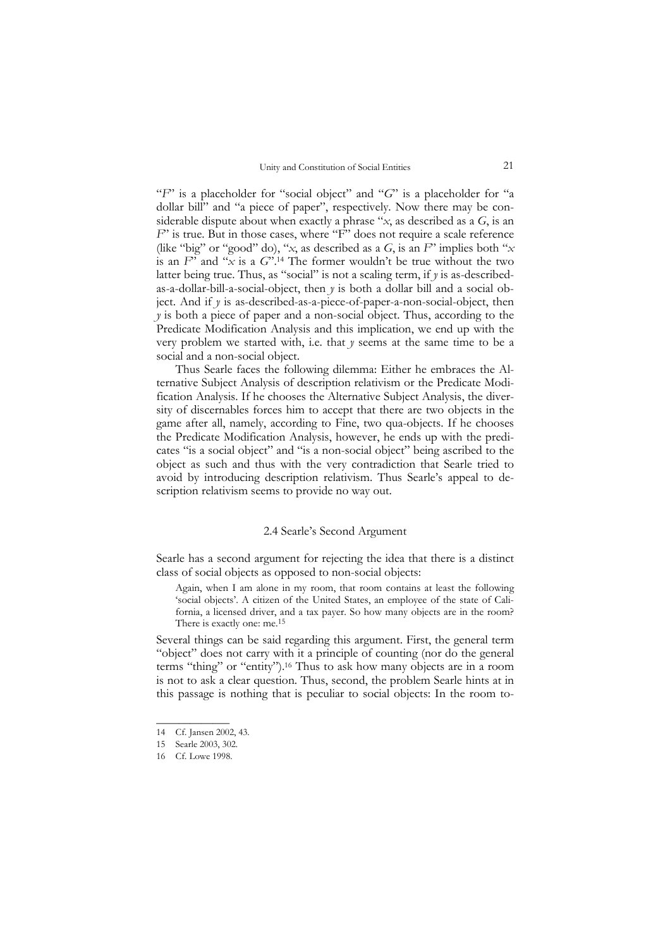"F" is a placeholder for "social object" and " $G$ " is a placeholder for "a dollar bill" and "a piece of paper", respectively. Now there may be considerable dispute about when exactly a phrase " $x$ , as described as a  $G$ , is an F" is true. But in those cases, where "F" does not require a scale reference (like "big" or "good" do), "x, as described as a  $G$ , is an  $F$ " implies both "x is an  $F'$  and "x is a  $G''$ .<sup>14</sup> The former wouldn't be true without the two latter being true. Thus, as "social" is not a scaling term, if y is as-describedas-a-dollar-bill-a-social-object, then y is both a dollar bill and a social object. And if  $y$  is as-described-as-a-piece-of-paper-a-non-social-object, then y is both a piece of paper and a non-social object. Thus, according to the Predicate Modification Analysis and this implication, we end up with the very problem we started with, i.e. that  $y$  seems at the same time to be a social and a non-social object.

Thus Searle faces the following dilemma: Either he embraces the Alternative Subject Analysis of description relativism or the Predicate Modification Analysis. If he chooses the Alternative Subject Analysis, the diversity of discernables forces him to accept that there are two objects in the game after all, namely, according to Fine, two qua-objects. If he chooses the Predicate Modification Analysis, however, he ends up with the predicates "is a social object" and "is a non-social object" being ascribed to the object as such and thus with the very contradiction that Searle tried to avoid by introducing description relativism. Thus Searle's appeal to description relativism seems to provide no way out.

# 2.4 Searle's Second Argument

Searle has a second argument for rejecting the idea that there is a distinct class of social objects as opposed to non-social objects:

Again, when I am alone in my room, that room contains at least the following 'social objects'. A citizen of the United States, an employee of the state of California, a licensed driver, and a tax payer. So how many objects are in the room? There is exactly one: me.<sup>15</sup>

Several things can be said regarding this argument. First, the general term "object" does not carry with it a principle of counting (nor do the general terms "thing" or "entity").16 Thus to ask how many objects are in a room is not to ask a clear question. Thus, second, the problem Searle hints at in this passage is nothing that is peculiar to social objects: In the room to-

\_\_\_\_\_\_\_\_\_\_\_\_\_ 14 Cf. Jansen 2002, 43.

<sup>15</sup> Searle 2003, 302.

<sup>16</sup> Cf. Lowe 1998.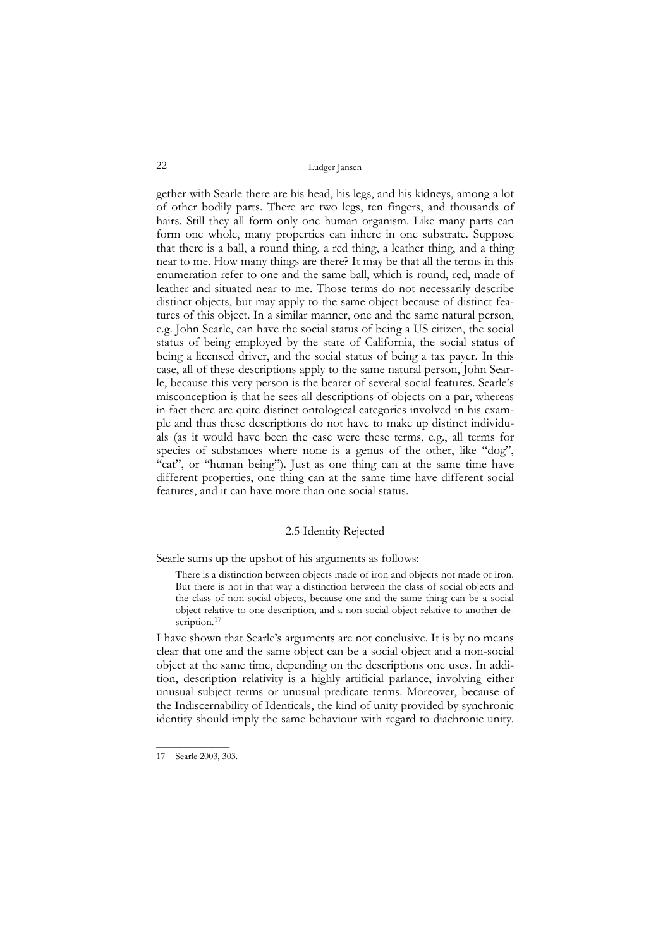gether with Searle there are his head, his legs, and his kidneys, among a lot of other bodily parts. There are two legs, ten fingers, and thousands of hairs. Still they all form only one human organism. Like many parts can form one whole, many properties can inhere in one substrate. Suppose that there is a ball, a round thing, a red thing, a leather thing, and a thing near to me. How many things are there? It may be that all the terms in this enumeration refer to one and the same ball, which is round, red, made of leather and situated near to me. Those terms do not necessarily describe distinct objects, but may apply to the same object because of distinct features of this object. In a similar manner, one and the same natural person, e.g. John Searle, can have the social status of being a US citizen, the social status of being employed by the state of California, the social status of being a licensed driver, and the social status of being a tax payer. In this case, all of these descriptions apply to the same natural person, John Searle, because this very person is the bearer of several social features. Searle's misconception is that he sees all descriptions of objects on a par, whereas in fact there are quite distinct ontological categories involved in his example and thus these descriptions do not have to make up distinct individuals (as it would have been the case were these terms, e.g., all terms for species of substances where none is a genus of the other, like "dog", "cat", or "human being"). Just as one thing can at the same time have different properties, one thing can at the same time have different social features, and it can have more than one social status.

#### 2.5 Identity Rejected

Searle sums up the upshot of his arguments as follows:

There is a distinction between objects made of iron and objects not made of iron. But there is not in that way a distinction between the class of social objects and the class of non-social objects, because one and the same thing can be a social object relative to one description, and a non-social object relative to another description.<sup>17</sup>

I have shown that Searle's arguments are not conclusive. It is by no means clear that one and the same object can be a social object and a non-social object at the same time, depending on the descriptions one uses. In addition, description relativity is a highly artificial parlance, involving either unusual subject terms or unusual predicate terms. Moreover, because of the Indiscernability of Identicals, the kind of unity provided by synchronic identity should imply the same behaviour with regard to diachronic unity.

\_\_\_\_\_\_\_\_\_\_\_\_\_ 17 Searle 2003, 303.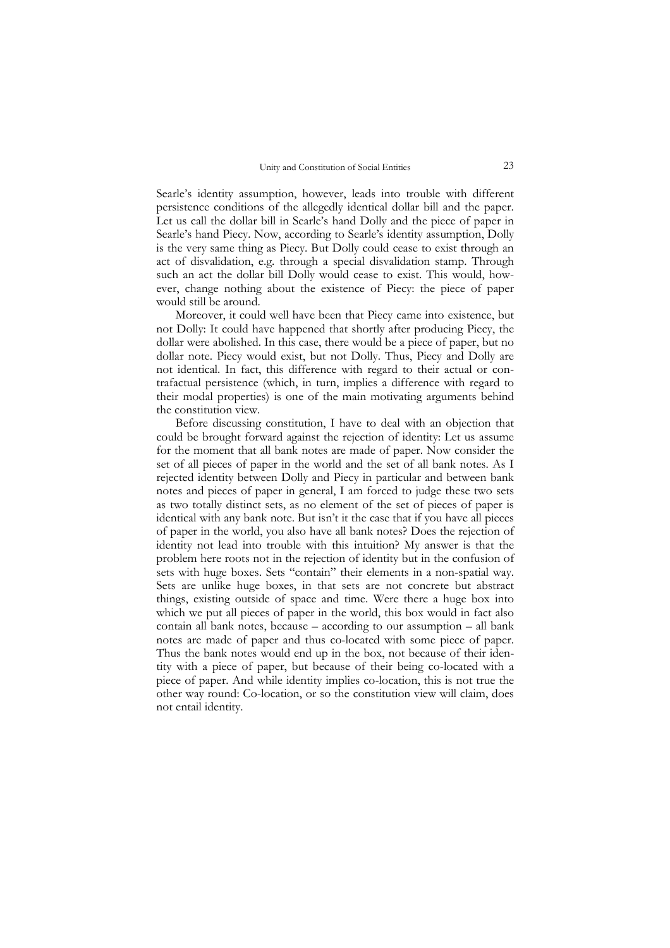Searle's identity assumption, however, leads into trouble with different persistence conditions of the allegedly identical dollar bill and the paper. Let us call the dollar bill in Searle's hand Dolly and the piece of paper in Searle's hand Piecy. Now, according to Searle's identity assumption, Dolly is the very same thing as Piecy. But Dolly could cease to exist through an act of disvalidation, e.g. through a special disvalidation stamp. Through such an act the dollar bill Dolly would cease to exist. This would, however, change nothing about the existence of Piecy: the piece of paper would still be around.

Moreover, it could well have been that Piecy came into existence, but not Dolly: It could have happened that shortly after producing Piecy, the dollar were abolished. In this case, there would be a piece of paper, but no dollar note. Piecy would exist, but not Dolly. Thus, Piecy and Dolly are not identical. In fact, this difference with regard to their actual or contrafactual persistence (which, in turn, implies a difference with regard to their modal properties) is one of the main motivating arguments behind the constitution view.

Before discussing constitution, I have to deal with an objection that could be brought forward against the rejection of identity: Let us assume for the moment that all bank notes are made of paper. Now consider the set of all pieces of paper in the world and the set of all bank notes. As I rejected identity between Dolly and Piecy in particular and between bank notes and pieces of paper in general, I am forced to judge these two sets as two totally distinct sets, as no element of the set of pieces of paper is identical with any bank note. But isn't it the case that if you have all pieces of paper in the world, you also have all bank notes? Does the rejection of identity not lead into trouble with this intuition? My answer is that the problem here roots not in the rejection of identity but in the confusion of sets with huge boxes. Sets "contain" their elements in a non-spatial way. Sets are unlike huge boxes, in that sets are not concrete but abstract things, existing outside of space and time. Were there a huge box into which we put all pieces of paper in the world, this box would in fact also contain all bank notes, because – according to our assumption – all bank notes are made of paper and thus co-located with some piece of paper. Thus the bank notes would end up in the box, not because of their identity with a piece of paper, but because of their being co-located with a piece of paper. And while identity implies co-location, this is not true the other way round: Co-location, or so the constitution view will claim, does not entail identity.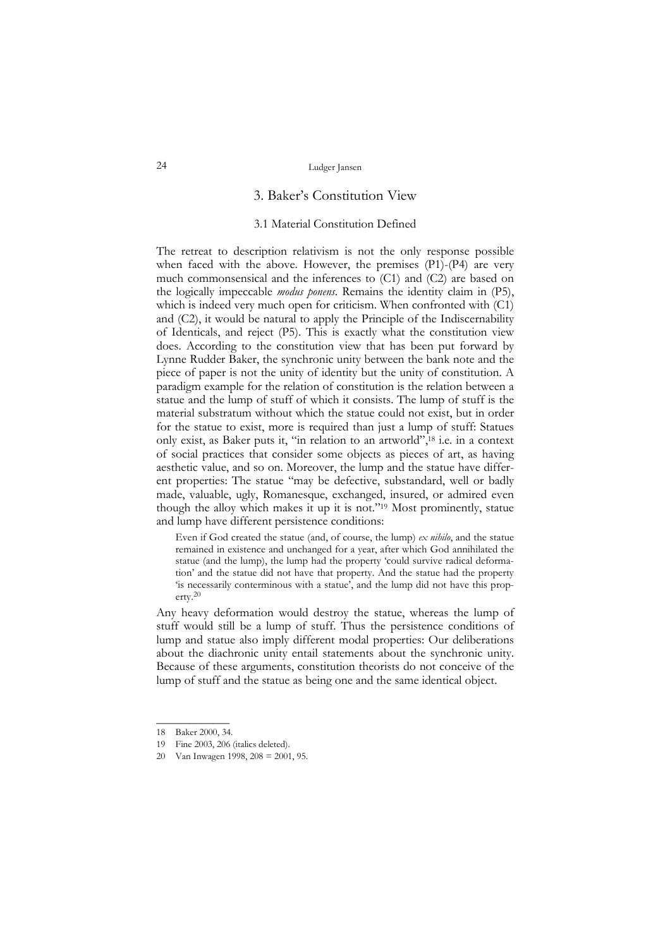# 3. Baker's Constitution View

#### 3.1 Material Constitution Defined

The retreat to description relativism is not the only response possible when faced with the above. However, the premises (P1)-(P4) are very much commonsensical and the inferences to (C1) and (C2) are based on the logically impeccable modus ponens. Remains the identity claim in (P5), which is indeed very much open for criticism. When confronted with (C1) and (C2), it would be natural to apply the Principle of the Indiscernability of Identicals, and reject (P5). This is exactly what the constitution view does. According to the constitution view that has been put forward by Lynne Rudder Baker, the synchronic unity between the bank note and the piece of paper is not the unity of identity but the unity of constitution. A paradigm example for the relation of constitution is the relation between a statue and the lump of stuff of which it consists. The lump of stuff is the material substratum without which the statue could not exist, but in order for the statue to exist, more is required than just a lump of stuff: Statues only exist, as Baker puts it, "in relation to an artworld",18 i.e. in a context of social practices that consider some objects as pieces of art, as having aesthetic value, and so on. Moreover, the lump and the statue have different properties: The statue "may be defective, substandard, well or badly made, valuable, ugly, Romanesque, exchanged, insured, or admired even though the alloy which makes it up it is not."19 Most prominently, statue and lump have different persistence conditions:

Even if God created the statue (and, of course, the lump) ex nihilo, and the statue remained in existence and unchanged for a year, after which God annihilated the statue (and the lump), the lump had the property 'could survive radical deformation' and the statue did not have that property. And the statue had the property 'is necessarily conterminous with a statue', and the lump did not have this property.<sup>20</sup>

Any heavy deformation would destroy the statue, whereas the lump of stuff would still be a lump of stuff. Thus the persistence conditions of lump and statue also imply different modal properties: Our deliberations about the diachronic unity entail statements about the synchronic unity. Because of these arguments, constitution theorists do not conceive of the lump of stuff and the statue as being one and the same identical object.

\_\_\_\_\_\_\_\_\_\_\_\_\_ 18 Baker 2000, 34.

<sup>19</sup> Fine 2003, 206 (italics deleted).

<sup>20</sup> Van Inwagen 1998, 208 = 2001, 95.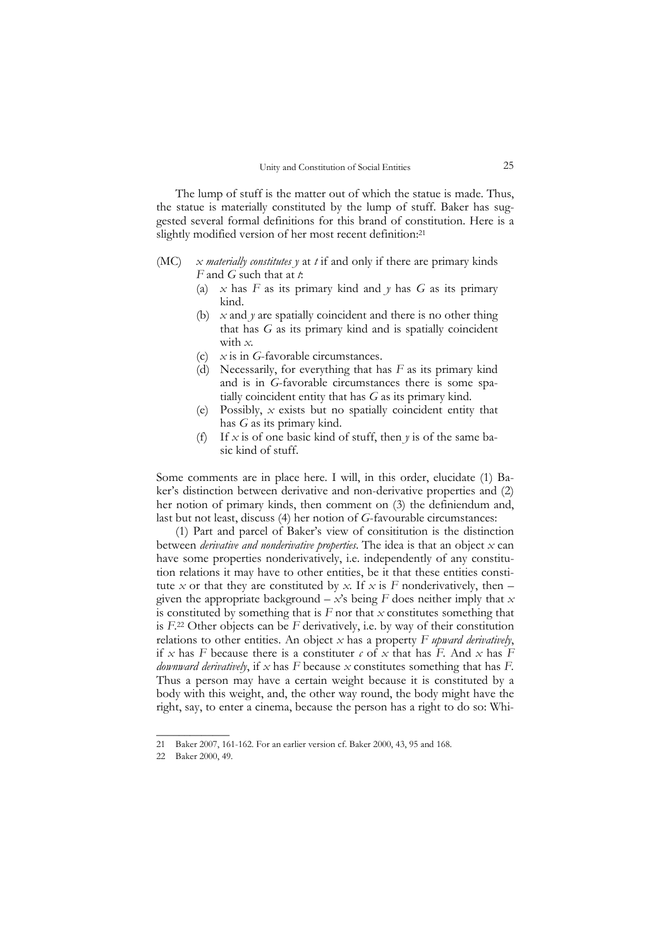The lump of stuff is the matter out of which the statue is made. Thus, the statue is materially constituted by the lump of stuff. Baker has suggested several formal definitions for this brand of constitution. Here is a slightly modified version of her most recent definition:<sup>21</sup>

- (MC)  $\propto$  *materially constitutes*  $\gamma$  at t if and only if there are primary kinds  $F$  and  $G$  such that at  $t$ :
	- (a)  $x$  has  $F$  as its primary kind and  $y$  has  $G$  as its primary kind.
	- (b)  $x$  and  $y$  are spatially coincident and there is no other thing that has G as its primary kind and is spatially coincident with x.
	- (c)  $x$  is in G-favorable circumstances.
	- (d) Necessarily, for everything that has  $F$  as its primary kind and is in G-favorable circumstances there is some spatially coincident entity that has G as its primary kind.
	- (e) Possibly,  $x$  exists but no spatially coincident entity that has G as its primary kind.
	- (f) If x is of one basic kind of stuff, then  $y$  is of the same basic kind of stuff.

Some comments are in place here. I will, in this order, elucidate (1) Baker's distinction between derivative and non-derivative properties and (2) her notion of primary kinds, then comment on (3) the definiendum and, last but not least, discuss (4) her notion of G-favourable circumstances:

(1) Part and parcel of Baker's view of consititution is the distinction between *derivative and nonderivative properties*. The idea is that an object  $x$  can have some properties nonderivatively, i.e. independently of any constitution relations it may have to other entities, be it that these entities constitute x or that they are constituted by x. If x is F nonderivatively, then  $$ given the appropriate background –  $x$ 's being F does neither imply that x is constituted by something that is  $F$  nor that  $x$  constitutes something that is F.22 Other objects can be F derivatively, i.e. by way of their constitution relations to other entities. An object  $x$  has a property  $F$  upward derivatively, if x has F because there is a constituter  $\epsilon$  of x that has F. And x has F *downward derivatively*, if  $x$  has  $F$  because  $x$  constitutes something that has  $F$ . Thus a person may have a certain weight because it is constituted by a body with this weight, and, the other way round, the body might have the right, say, to enter a cinema, because the person has a right to do so: Whi-

<sup>21</sup> Baker 2007, 161-162. For an earlier version cf. Baker 2000, 43, 95 and 168.

<sup>22</sup> Baker 2000, 49.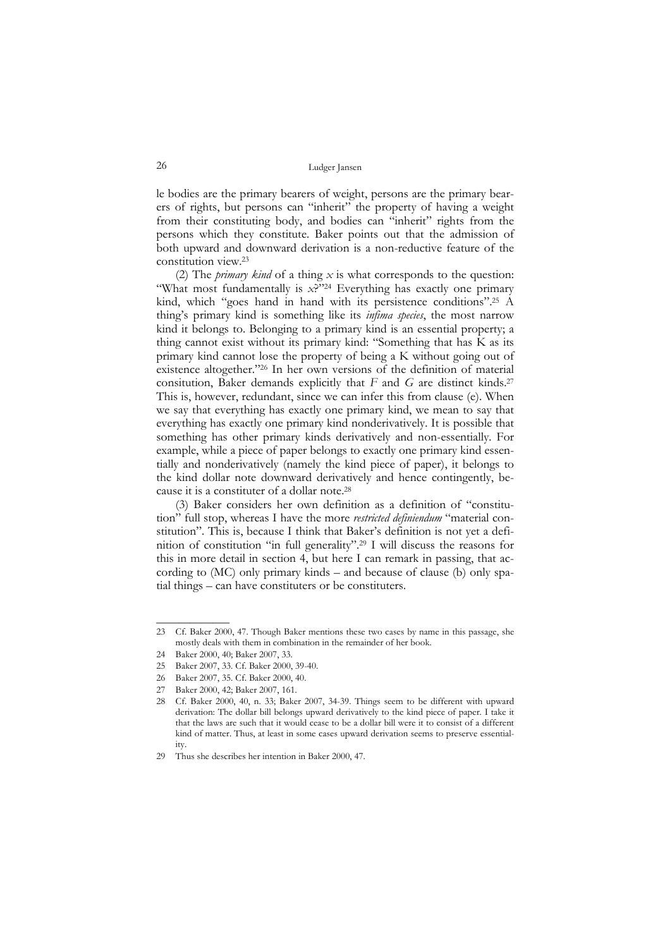le bodies are the primary bearers of weight, persons are the primary bearers of rights, but persons can "inherit" the property of having a weight from their constituting body, and bodies can "inherit" rights from the persons which they constitute. Baker points out that the admission of both upward and downward derivation is a non-reductive feature of the constitution view.<sup>23</sup>

(2) The *primary kind* of a thing  $x$  is what corresponds to the question: "What most fundamentally is  $x^{2}$ "24 Everything has exactly one primary kind, which "goes hand in hand with its persistence conditions".25 A thing's primary kind is something like its *infima species*, the most narrow kind it belongs to. Belonging to a primary kind is an essential property; a thing cannot exist without its primary kind: "Something that has K as its primary kind cannot lose the property of being a K without going out of existence altogether."26 In her own versions of the definition of material consitution, Baker demands explicitly that  $F$  and  $G$  are distinct kinds.<sup>27</sup> This is, however, redundant, since we can infer this from clause (e). When we say that everything has exactly one primary kind, we mean to say that everything has exactly one primary kind nonderivatively. It is possible that something has other primary kinds derivatively and non-essentially. For example, while a piece of paper belongs to exactly one primary kind essentially and nonderivatively (namely the kind piece of paper), it belongs to the kind dollar note downward derivatively and hence contingently, because it is a constituter of a dollar note.<sup>28</sup>

(3) Baker considers her own definition as a definition of "constitution" full stop, whereas I have the more *restricted definiendum* "material constitution". This is, because I think that Baker's definition is not yet a definition of constitution "in full generality".29 I will discuss the reasons for this in more detail in section 4, but here I can remark in passing, that according to (MC) only primary kinds – and because of clause (b) only spatial things – can have constituters or be constituters.

<sup>23</sup> Cf. Baker 2000, 47. Though Baker mentions these two cases by name in this passage, she mostly deals with them in combination in the remainder of her book.

<sup>24</sup> Baker 2000, 40; Baker 2007, 33.

<sup>25</sup> Baker 2007, 33. Cf. Baker 2000, 39-40.

<sup>26</sup> Baker 2007, 35. Cf. Baker 2000, 40.

<sup>27</sup> Baker 2000, 42; Baker 2007, 161.

Cf. Baker 2000, 40, n. 33; Baker 2007, 34-39. Things seem to be different with upward derivation: The dollar bill belongs upward derivatively to the kind piece of paper. I take it that the laws are such that it would cease to be a dollar bill were it to consist of a different kind of matter. Thus, at least in some cases upward derivation seems to preserve essentiality.

<sup>29</sup> Thus she describes her intention in Baker 2000, 47.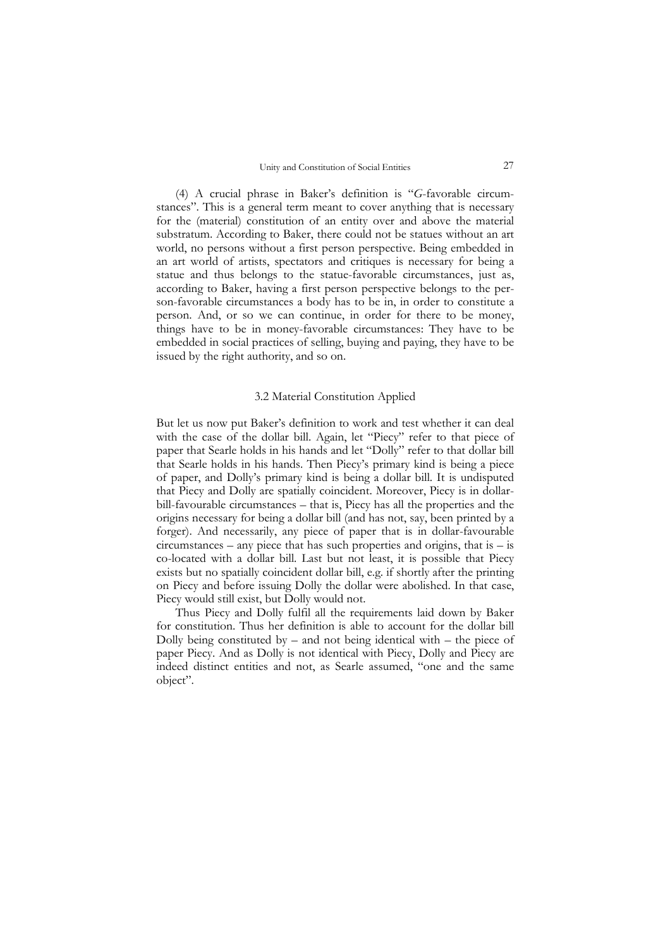(4) A crucial phrase in Baker's definition is "G-favorable circumstances". This is a general term meant to cover anything that is necessary for the (material) constitution of an entity over and above the material substratum. According to Baker, there could not be statues without an art world, no persons without a first person perspective. Being embedded in an art world of artists, spectators and critiques is necessary for being a statue and thus belongs to the statue-favorable circumstances, just as, according to Baker, having a first person perspective belongs to the person-favorable circumstances a body has to be in, in order to constitute a person. And, or so we can continue, in order for there to be money, things have to be in money-favorable circumstances: They have to be embedded in social practices of selling, buying and paying, they have to be issued by the right authority, and so on.

#### 3.2 Material Constitution Applied

But let us now put Baker's definition to work and test whether it can deal with the case of the dollar bill. Again, let "Piecy" refer to that piece of paper that Searle holds in his hands and let "Dolly" refer to that dollar bill that Searle holds in his hands. Then Piecy's primary kind is being a piece of paper, and Dolly's primary kind is being a dollar bill. It is undisputed that Piecy and Dolly are spatially coincident. Moreover, Piecy is in dollarbill-favourable circumstances – that is, Piecy has all the properties and the origins necessary for being a dollar bill (and has not, say, been printed by a forger). And necessarily, any piece of paper that is in dollar-favourable circumstances – any piece that has such properties and origins, that is – is co-located with a dollar bill. Last but not least, it is possible that Piecy exists but no spatially coincident dollar bill, e.g. if shortly after the printing on Piecy and before issuing Dolly the dollar were abolished. In that case, Piecy would still exist, but Dolly would not.

Thus Piecy and Dolly fulfil all the requirements laid down by Baker for constitution. Thus her definition is able to account for the dollar bill Dolly being constituted by – and not being identical with – the piece of paper Piecy. And as Dolly is not identical with Piecy, Dolly and Piecy are indeed distinct entities and not, as Searle assumed, "one and the same object".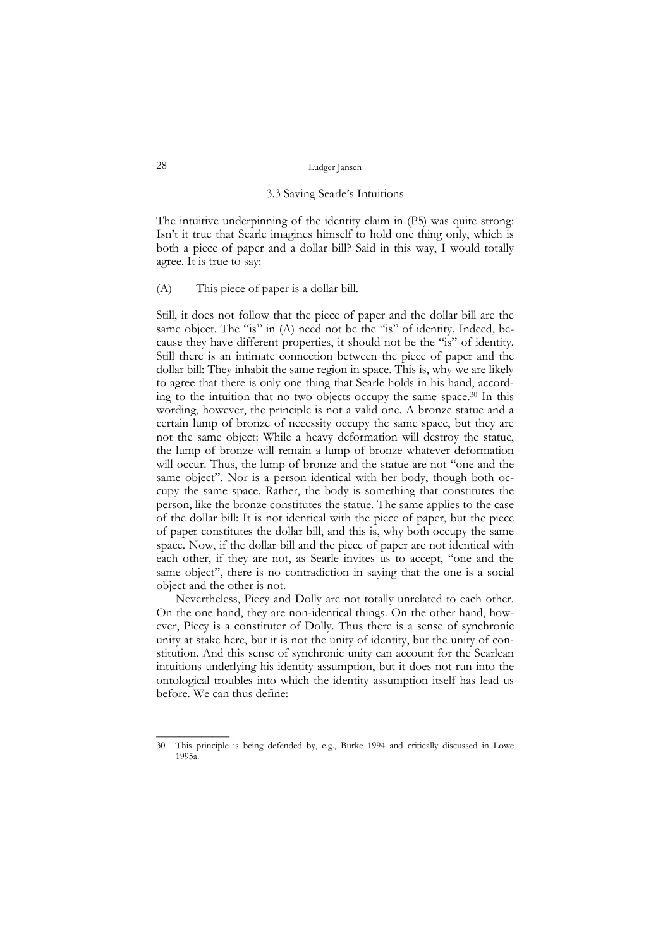### 3.3 Saving Searle's Intuitions

The intuitive underpinning of the identity claim in (P5) was quite strong: Isn't it true that Searle imagines himself to hold one thing only, which is both a piece of paper and a dollar bill? Said in this way, I would totally agree. It is true to say:

(A) This piece of paper is a dollar bill.

Still, it does not follow that the piece of paper and the dollar bill are the same object. The "is" in (A) need not be the "is" of identity. Indeed, because they have different properties, it should not be the "is" of identity. Still there is an intimate connection between the piece of paper and the dollar bill: They inhabit the same region in space. This is, why we are likely to agree that there is only one thing that Searle holds in his hand, according to the intuition that no two objects occupy the same space.30 In this wording, however, the principle is not a valid one. A bronze statue and a certain lump of bronze of necessity occupy the same space, but they are not the same object: While a heavy deformation will destroy the statue, the lump of bronze will remain a lump of bronze whatever deformation will occur. Thus, the lump of bronze and the statue are not "one and the same object". Nor is a person identical with her body, though both occupy the same space. Rather, the body is something that constitutes the person, like the bronze constitutes the statue. The same applies to the case of the dollar bill: It is not identical with the piece of paper, but the piece of paper constitutes the dollar bill, and this is, why both occupy the same space. Now, if the dollar bill and the piece of paper are not identical with each other, if they are not, as Searle invites us to accept, "one and the same object", there is no contradiction in saying that the one is a social object and the other is not.

Nevertheless, Piecy and Dolly are not totally unrelated to each other. On the one hand, they are non-identical things. On the other hand, however, Piecy is a constituter of Dolly. Thus there is a sense of synchronic unity at stake here, but it is not the unity of identity, but the unity of constitution. And this sense of synchronic unity can account for the Searlean intuitions underlying his identity assumption, but it does not run into the ontological troubles into which the identity assumption itself has lead us before. We can thus define:

<sup>30</sup> This principle is being defended by, e.g., Burke 1994 and critically discussed in Lowe 1995a.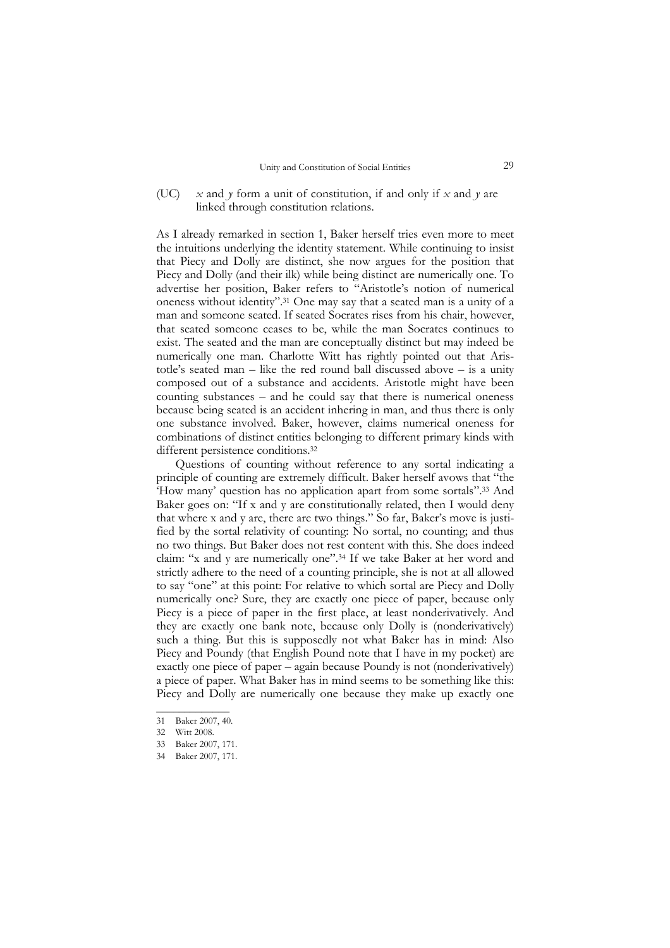# (UC)  $x$  and y form a unit of constitution, if and only if x and y are linked through constitution relations.

As I already remarked in section 1, Baker herself tries even more to meet the intuitions underlying the identity statement. While continuing to insist that Piecy and Dolly are distinct, she now argues for the position that Piecy and Dolly (and their ilk) while being distinct are numerically one. To advertise her position, Baker refers to "Aristotle's notion of numerical oneness without identity".31 One may say that a seated man is a unity of a man and someone seated. If seated Socrates rises from his chair, however, that seated someone ceases to be, while the man Socrates continues to exist. The seated and the man are conceptually distinct but may indeed be numerically one man. Charlotte Witt has rightly pointed out that Aristotle's seated man – like the red round ball discussed above – is a unity composed out of a substance and accidents. Aristotle might have been counting substances – and he could say that there is numerical oneness because being seated is an accident inhering in man, and thus there is only one substance involved. Baker, however, claims numerical oneness for combinations of distinct entities belonging to different primary kinds with different persistence conditions.<sup>32</sup>

Questions of counting without reference to any sortal indicating a principle of counting are extremely difficult. Baker herself avows that "the 'How many' question has no application apart from some sortals".33 And Baker goes on: "If x and y are constitutionally related, then I would deny that where x and y are, there are two things." So far, Baker's move is justified by the sortal relativity of counting: No sortal, no counting; and thus no two things. But Baker does not rest content with this. She does indeed claim: "x and y are numerically one".34 If we take Baker at her word and strictly adhere to the need of a counting principle, she is not at all allowed to say "one" at this point: For relative to which sortal are Piecy and Dolly numerically one? Sure, they are exactly one piece of paper, because only Piecy is a piece of paper in the first place, at least nonderivatively. And they are exactly one bank note, because only Dolly is (nonderivatively) such a thing. But this is supposedly not what Baker has in mind: Also Piecy and Poundy (that English Pound note that I have in my pocket) are exactly one piece of paper – again because Poundy is not (nonderivatively) a piece of paper. What Baker has in mind seems to be something like this: Piecy and Dolly are numerically one because they make up exactly one

\_\_\_\_\_\_\_\_\_\_\_\_\_ 31 Baker 2007, 40.

<sup>32</sup> Witt 2008.

<sup>33</sup> Baker 2007, 171.

<sup>34</sup> Baker 2007, 171.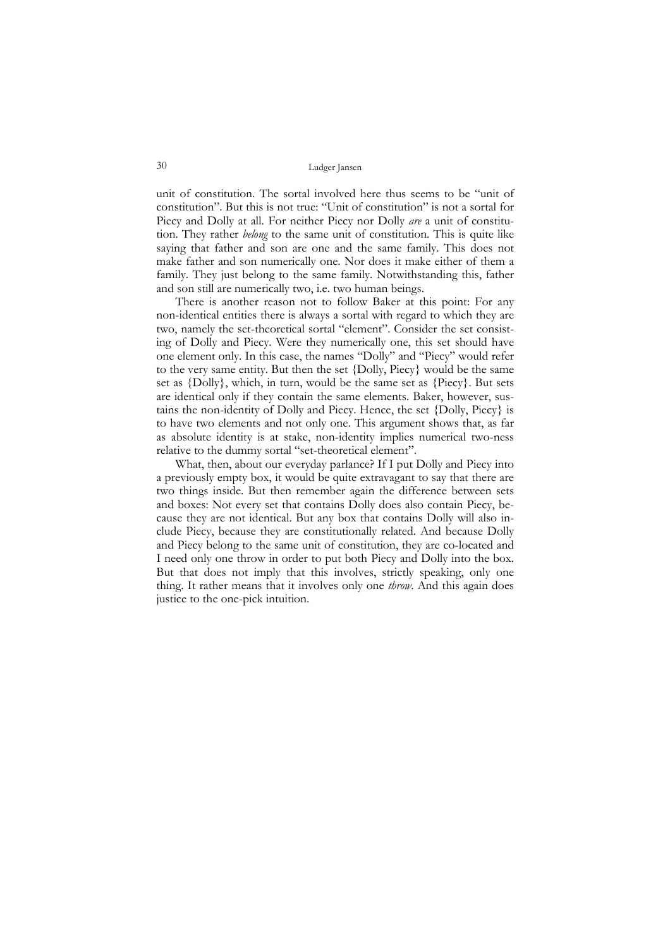unit of constitution. The sortal involved here thus seems to be "unit of constitution". But this is not true: "Unit of constitution" is not a sortal for Piecy and Dolly at all. For neither Piecy nor Dolly are a unit of constitution. They rather belong to the same unit of constitution. This is quite like saying that father and son are one and the same family. This does not make father and son numerically one. Nor does it make either of them a family. They just belong to the same family. Notwithstanding this, father and son still are numerically two, i.e. two human beings.

There is another reason not to follow Baker at this point: For any non-identical entities there is always a sortal with regard to which they are two, namely the set-theoretical sortal "element". Consider the set consisting of Dolly and Piecy. Were they numerically one, this set should have one element only. In this case, the names "Dolly" and "Piecy" would refer to the very same entity. But then the set {Dolly, Piecy} would be the same set as  ${Dolly}$ , which, in turn, would be the same set as  ${Piecy}$ . But sets are identical only if they contain the same elements. Baker, however, sustains the non-identity of Dolly and Piecy. Hence, the set {Dolly, Piecy} is to have two elements and not only one. This argument shows that, as far as absolute identity is at stake, non-identity implies numerical two-ness relative to the dummy sortal "set-theoretical element".

What, then, about our everyday parlance? If I put Dolly and Piecy into a previously empty box, it would be quite extravagant to say that there are two things inside. But then remember again the difference between sets and boxes: Not every set that contains Dolly does also contain Piecy, because they are not identical. But any box that contains Dolly will also include Piecy, because they are constitutionally related. And because Dolly and Piecy belong to the same unit of constitution, they are co-located and I need only one throw in order to put both Piecy and Dolly into the box. But that does not imply that this involves, strictly speaking, only one thing. It rather means that it involves only one *throw*. And this again does justice to the one-pick intuition.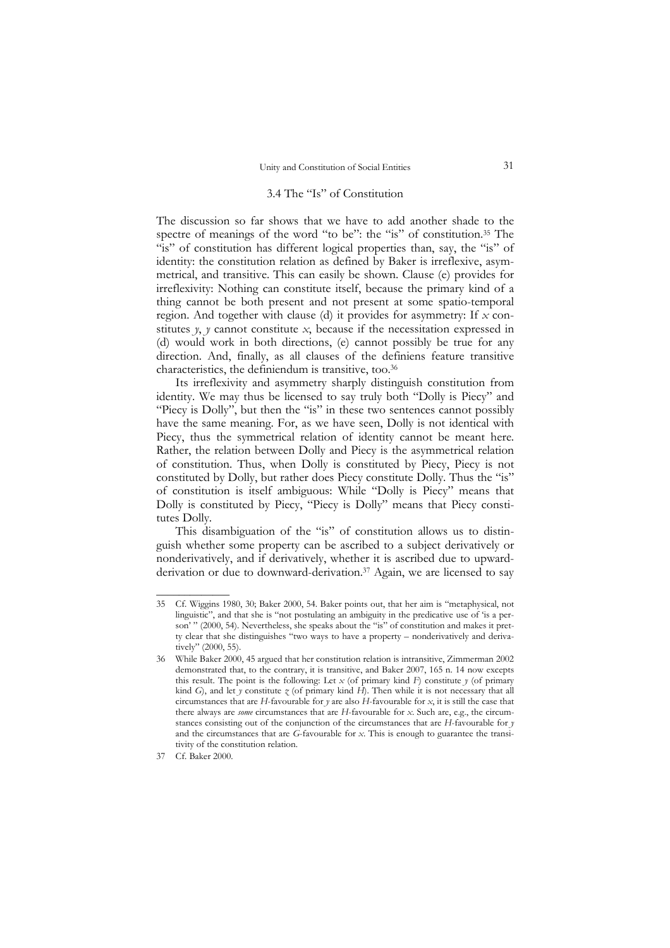#### 3.4 The "Is" of Constitution

The discussion so far shows that we have to add another shade to the spectre of meanings of the word "to be": the "is" of constitution.35 The "is" of constitution has different logical properties than, say, the "is" of identity: the constitution relation as defined by Baker is irreflexive, asymmetrical, and transitive. This can easily be shown. Clause (e) provides for irreflexivity: Nothing can constitute itself, because the primary kind of a thing cannot be both present and not present at some spatio-temporal region. And together with clause (d) it provides for asymmetry: If  $x$  constitutes  $y$ ,  $y$  cannot constitute  $x$ , because if the necessitation expressed in (d) would work in both directions, (e) cannot possibly be true for any direction. And, finally, as all clauses of the definiens feature transitive characteristics, the definiendum is transitive, too. 36

Its irreflexivity and asymmetry sharply distinguish constitution from identity. We may thus be licensed to say truly both "Dolly is Piecy" and "Piecy is Dolly", but then the "is" in these two sentences cannot possibly have the same meaning. For, as we have seen, Dolly is not identical with Piecy, thus the symmetrical relation of identity cannot be meant here. Rather, the relation between Dolly and Piecy is the asymmetrical relation of constitution. Thus, when Dolly is constituted by Piecy, Piecy is not constituted by Dolly, but rather does Piecy constitute Dolly. Thus the "is" of constitution is itself ambiguous: While "Dolly is Piecy" means that Dolly is constituted by Piecy, "Piecy is Dolly" means that Piecy constitutes Dolly.

This disambiguation of the "is" of constitution allows us to distinguish whether some property can be ascribed to a subject derivatively or nonderivatively, and if derivatively, whether it is ascribed due to upwardderivation or due to downward-derivation.37 Again, we are licensed to say

<sup>35</sup> Cf. Wiggins 1980, 30; Baker 2000, 54. Baker points out, that her aim is "metaphysical, not linguistic", and that she is "not postulating an ambiguity in the predicative use of 'is a person'" (2000, 54). Nevertheless, she speaks about the "is" of constitution and makes it pretty clear that she distinguishes "two ways to have a property – nonderivatively and derivatively" (2000, 55).

<sup>36</sup> While Baker 2000, 45 argued that her constitution relation is intransitive, Zimmerman 2002 demonstrated that, to the contrary, it is transitive, and Baker 2007, 165 n. 14 now excepts this result. The point is the following: Let x (of primary kind F) constitute  $\gamma$  (of primary kind G), and let y constitute  $\zeta$  (of primary kind H). Then while it is not necessary that all circumstances that are H-favourable for  $\gamma$  are also H-favourable for x, it is still the case that there always are *some* circumstances that are H-favourable for x. Such are, e.g., the circumstances consisting out of the conjunction of the circumstances that are  $H$ -favourable for  $y$ and the circumstances that are  $G$ -favourable for x. This is enough to guarantee the transitivity of the constitution relation.

<sup>37</sup> Cf. Baker 2000.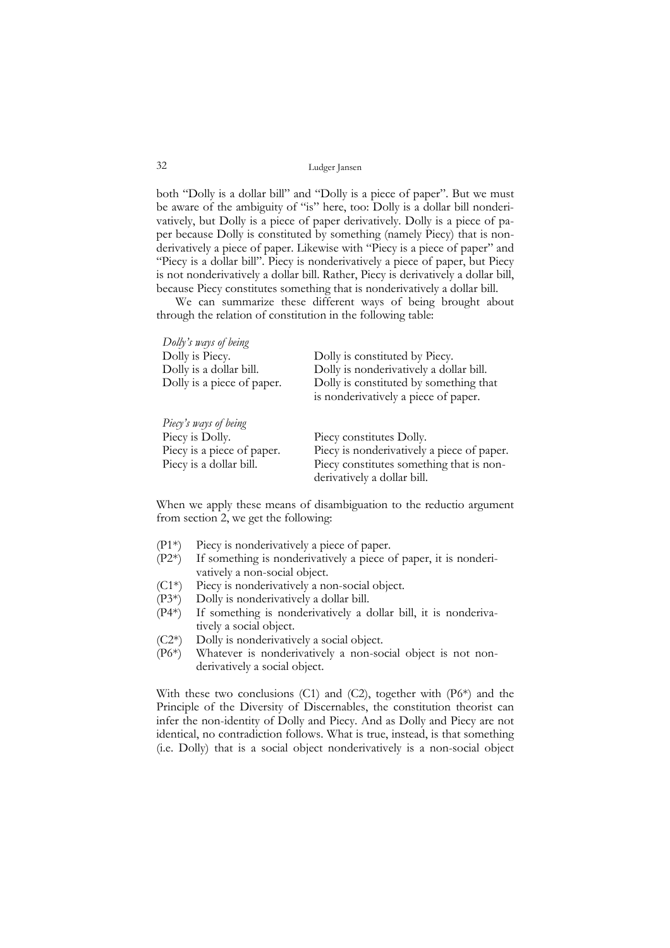```
32 Ludger Jansen
```
both "Dolly is a dollar bill" and "Dolly is a piece of paper". But we must be aware of the ambiguity of "is" here, too: Dolly is a dollar bill nonderivatively, but Dolly is a piece of paper derivatively. Dolly is a piece of paper because Dolly is constituted by something (namely Piecy) that is nonderivatively a piece of paper. Likewise with "Piecy is a piece of paper" and "Piecy is a dollar bill". Piecy is nonderivatively a piece of paper, but Piecy is not nonderivatively a dollar bill. Rather, Piecy is derivatively a dollar bill, because Piecy constitutes something that is nonderivatively a dollar bill.

We can summarize these different ways of being brought about through the relation of constitution in the following table:

| Dolly is constituted by Piecy.                                                 |
|--------------------------------------------------------------------------------|
| Dolly is nonderivatively a dollar bill.                                        |
| Dolly is constituted by something that<br>is nonderivatively a piece of paper. |
|                                                                                |
| Piecy constitutes Dolly.                                                       |
| Piecy is nonderivatively a piece of paper.                                     |
| Piecy constitutes something that is non-                                       |
| derivatively a dollar bill.                                                    |
|                                                                                |

When we apply these means of disambiguation to the reductio argument from section 2, we get the following:

- (P1\*) Piecy is nonderivatively a piece of paper.
- (P2\*) If something is nonderivatively a piece of paper, it is nonderivatively a non-social object.
- $(C1*)$  Piecy is nonderivatively a non-social object.<br>(P3\*) Dolly is nonderivatively a dollar bill.
- Dolly is nonderivatively a dollar bill.
- (P4\*) If something is nonderivatively a dollar bill, it is nonderivatively a social object.
- (C2\*) Dolly is nonderivatively a social object.
- (P6\*) Whatever is nonderivatively a non-social object is not nonderivatively a social object.

With these two conclusions (C1) and (C2), together with (P6\*) and the Principle of the Diversity of Discernables, the constitution theorist can infer the non-identity of Dolly and Piecy. And as Dolly and Piecy are not identical, no contradiction follows. What is true, instead, is that something (i.e. Dolly) that is a social object nonderivatively is a non-social object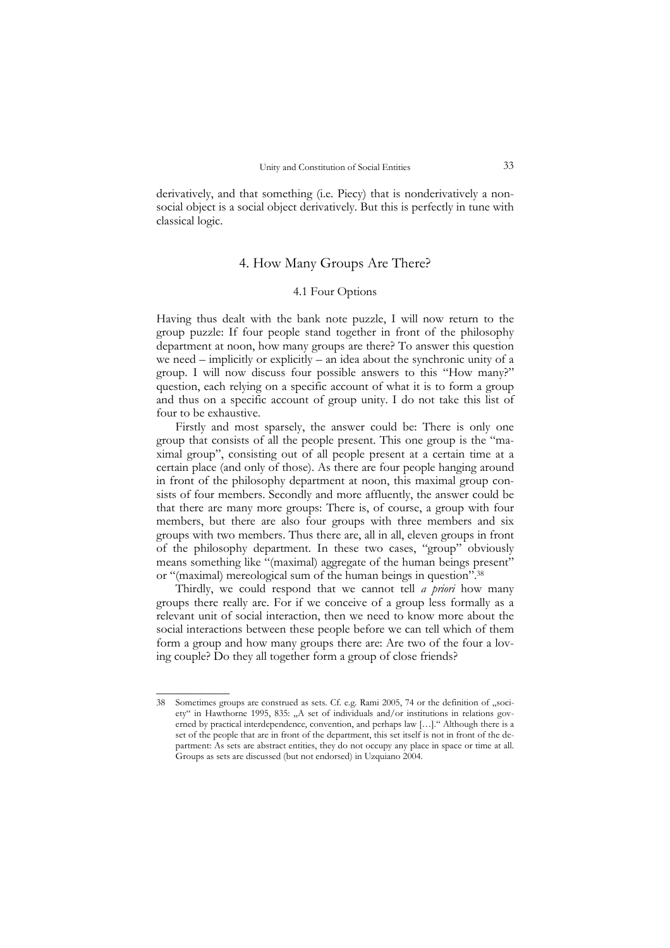derivatively, and that something (i.e. Piecy) that is nonderivatively a nonsocial object is a social object derivatively. But this is perfectly in tune with classical logic.

# 4. How Many Groups Are There?

### 4.1 Four Options

Having thus dealt with the bank note puzzle, I will now return to the group puzzle: If four people stand together in front of the philosophy department at noon, how many groups are there? To answer this question we need – implicitly or explicitly – an idea about the synchronic unity of a group. I will now discuss four possible answers to this "How many?" question, each relying on a specific account of what it is to form a group and thus on a specific account of group unity. I do not take this list of four to be exhaustive.

Firstly and most sparsely, the answer could be: There is only one group that consists of all the people present. This one group is the "maximal group", consisting out of all people present at a certain time at a certain place (and only of those). As there are four people hanging around in front of the philosophy department at noon, this maximal group consists of four members. Secondly and more affluently, the answer could be that there are many more groups: There is, of course, a group with four members, but there are also four groups with three members and six groups with two members. Thus there are, all in all, eleven groups in front of the philosophy department. In these two cases, "group" obviously means something like "(maximal) aggregate of the human beings present" or "(maximal) mereological sum of the human beings in question".<sup>38</sup>

Thirdly, we could respond that we cannot tell *a priori* how many groups there really are. For if we conceive of a group less formally as a relevant unit of social interaction, then we need to know more about the social interactions between these people before we can tell which of them form a group and how many groups there are: Are two of the four a loving couple? Do they all together form a group of close friends?

<sup>38</sup> Sometimes groups are construed as sets. Cf. e.g. Rami 2005, 74 or the definition of "society" in Hawthorne 1995, 835: "A set of individuals and/or institutions in relations governed by practical interdependence, convention, and perhaps law […]." Although there is a set of the people that are in front of the department, this set itself is not in front of the department: As sets are abstract entities, they do not occupy any place in space or time at all. Groups as sets are discussed (but not endorsed) in Uzquiano 2004.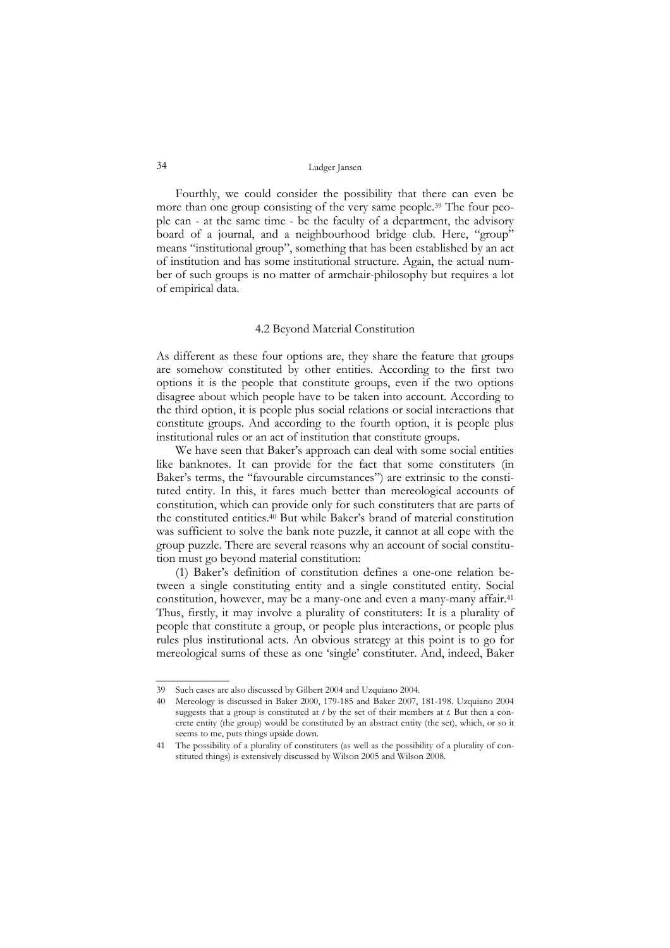Fourthly, we could consider the possibility that there can even be more than one group consisting of the very same people.<sup>39</sup> The four people can - at the same time - be the faculty of a department, the advisory board of a journal, and a neighbourhood bridge club. Here, "group" means "institutional group", something that has been established by an act of institution and has some institutional structure. Again, the actual number of such groups is no matter of armchair-philosophy but requires a lot of empirical data.

# 4.2 Beyond Material Constitution

As different as these four options are, they share the feature that groups are somehow constituted by other entities. According to the first two options it is the people that constitute groups, even if the two options disagree about which people have to be taken into account. According to the third option, it is people plus social relations or social interactions that constitute groups. And according to the fourth option, it is people plus institutional rules or an act of institution that constitute groups.

We have seen that Baker's approach can deal with some social entities like banknotes. It can provide for the fact that some constituters (in Baker's terms, the "favourable circumstances") are extrinsic to the constituted entity. In this, it fares much better than mereological accounts of constitution, which can provide only for such constituters that are parts of the constituted entities.40 But while Baker's brand of material constitution was sufficient to solve the bank note puzzle, it cannot at all cope with the group puzzle. There are several reasons why an account of social constitution must go beyond material constitution:

(1) Baker's definition of constitution defines a one-one relation between a single constituting entity and a single constituted entity. Social constitution, however, may be a many-one and even a many-many affair.<sup>41</sup> Thus, firstly, it may involve a plurality of constituters: It is a plurality of people that constitute a group, or people plus interactions, or people plus rules plus institutional acts. An obvious strategy at this point is to go for mereological sums of these as one 'single' constituter. And, indeed, Baker

<sup>39</sup> Such cases are also discussed by Gilbert 2004 and Uzquiano 2004.

<sup>40</sup> Mereology is discussed in Baker 2000, 179-185 and Baker 2007, 181-198. Uzquiano 2004 suggests that a group is constituted at t by the set of their members at t. But then a concrete entity (the group) would be constituted by an abstract entity (the set), which, or so it seems to me, puts things upside down.

<sup>41</sup> The possibility of a plurality of constituters (as well as the possibility of a plurality of constituted things) is extensively discussed by Wilson 2005 and Wilson 2008.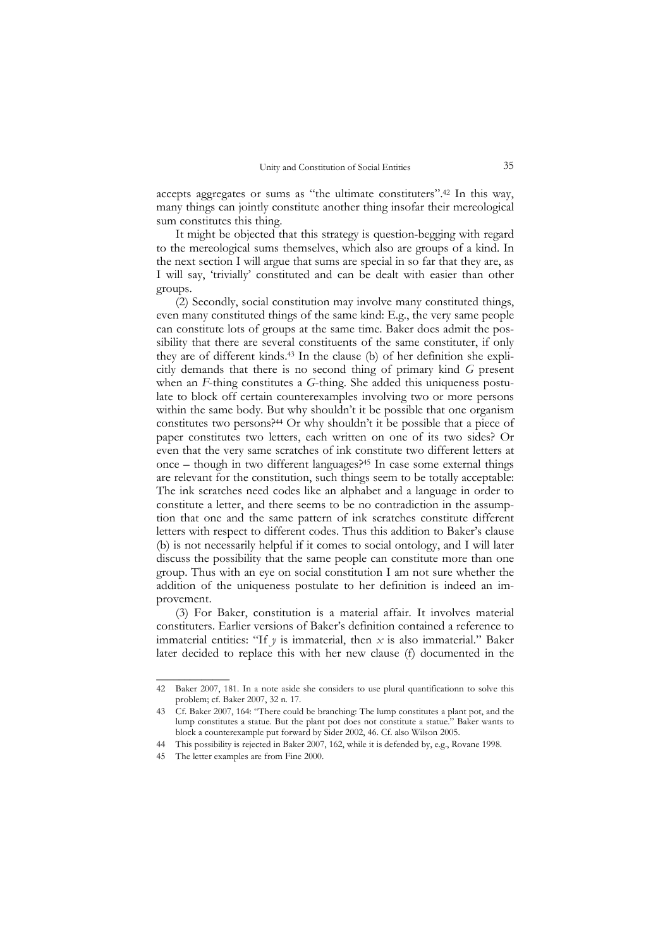accepts aggregates or sums as "the ultimate constituters".42 In this way, many things can jointly constitute another thing insofar their mereological sum constitutes this thing.

It might be objected that this strategy is question-begging with regard to the mereological sums themselves, which also are groups of a kind. In the next section I will argue that sums are special in so far that they are, as I will say, 'trivially' constituted and can be dealt with easier than other groups.

(2) Secondly, social constitution may involve many constituted things, even many constituted things of the same kind: E.g., the very same people can constitute lots of groups at the same time. Baker does admit the possibility that there are several constituents of the same constituter, if only they are of different kinds.43 In the clause (b) of her definition she explicitly demands that there is no second thing of primary kind G present when an F-thing constitutes a G-thing. She added this uniqueness postulate to block off certain counterexamples involving two or more persons within the same body. But why shouldn't it be possible that one organism constitutes two persons?44 Or why shouldn't it be possible that a piece of paper constitutes two letters, each written on one of its two sides? Or even that the very same scratches of ink constitute two different letters at once – though in two different languages?45 In case some external things are relevant for the constitution, such things seem to be totally acceptable: The ink scratches need codes like an alphabet and a language in order to constitute a letter, and there seems to be no contradiction in the assumption that one and the same pattern of ink scratches constitute different letters with respect to different codes. Thus this addition to Baker's clause (b) is not necessarily helpful if it comes to social ontology, and I will later discuss the possibility that the same people can constitute more than one group. Thus with an eye on social constitution I am not sure whether the addition of the uniqueness postulate to her definition is indeed an improvement.

(3) For Baker, constitution is a material affair. It involves material constituters. Earlier versions of Baker's definition contained a reference to immaterial entities: "If  $\gamma$  is immaterial, then  $x$  is also immaterial." Baker later decided to replace this with her new clause (f) documented in the

<sup>42</sup> Baker 2007, 181. In a note aside she considers to use plural quantificationn to solve this problem; cf. Baker 2007, 32 n. 17.

<sup>43</sup> Cf. Baker 2007, 164: "There could be branching: The lump constitutes a plant pot, and the lump constitutes a statue. But the plant pot does not constitute a statue." Baker wants to block a counterexample put forward by Sider 2002, 46. Cf. also Wilson 2005.

<sup>44</sup> This possibility is rejected in Baker 2007, 162, while it is defended by, e.g., Rovane 1998.

<sup>45</sup> The letter examples are from Fine 2000.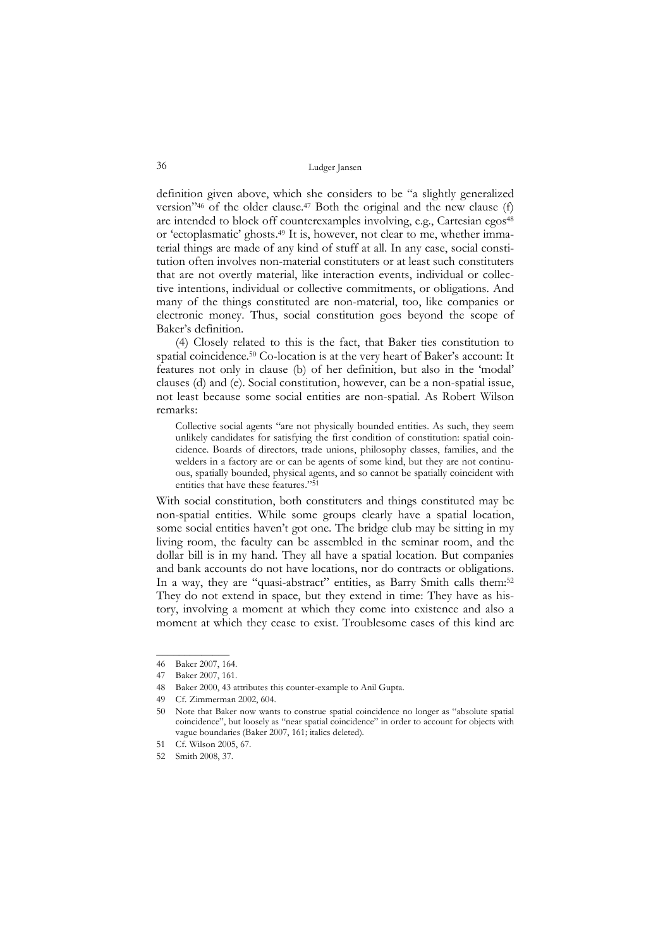definition given above, which she considers to be "a slightly generalized version"46 of the older clause.47 Both the original and the new clause (f) are intended to block off counterexamples involving, e.g., Cartesian egos<sup>48</sup> or 'ectoplasmatic' ghosts.49 It is, however, not clear to me, whether immaterial things are made of any kind of stuff at all. In any case, social constitution often involves non-material constituters or at least such constituters that are not overtly material, like interaction events, individual or collective intentions, individual or collective commitments, or obligations. And many of the things constituted are non-material, too, like companies or electronic money. Thus, social constitution goes beyond the scope of Baker's definition.

(4) Closely related to this is the fact, that Baker ties constitution to spatial coincidence.50 Co-location is at the very heart of Baker's account: It features not only in clause (b) of her definition, but also in the 'modal' clauses (d) and (e). Social constitution, however, can be a non-spatial issue, not least because some social entities are non-spatial. As Robert Wilson remarks:

Collective social agents "are not physically bounded entities. As such, they seem unlikely candidates for satisfying the first condition of constitution: spatial coincidence. Boards of directors, trade unions, philosophy classes, families, and the welders in a factory are or can be agents of some kind, but they are not continuous, spatially bounded, physical agents, and so cannot be spatially coincident with entities that have these features."<sup>51</sup>

With social constitution, both constituters and things constituted may be non-spatial entities. While some groups clearly have a spatial location, some social entities haven't got one. The bridge club may be sitting in my living room, the faculty can be assembled in the seminar room, and the dollar bill is in my hand. They all have a spatial location. But companies and bank accounts do not have locations, nor do contracts or obligations. In a way, they are "quasi-abstract" entities, as Barry Smith calls them:<sup>52</sup> They do not extend in space, but they extend in time: They have as history, involving a moment at which they come into existence and also a moment at which they cease to exist. Troublesome cases of this kind are

\_\_\_\_\_\_\_\_\_\_\_\_\_ 46 Baker 2007, 164.

<sup>47</sup> Baker 2007, 161.

<sup>48</sup> Baker 2000, 43 attributes this counter-example to Anil Gupta.

<sup>49</sup> Cf. Zimmerman 2002, 604.

<sup>50</sup> Note that Baker now wants to construe spatial coincidence no longer as "absolute spatial coincidence", but loosely as "near spatial coincidence" in order to account for objects with vague boundaries (Baker 2007, 161; italics deleted).

<sup>51</sup> Cf. Wilson 2005, 67.

<sup>52</sup> Smith 2008, 37.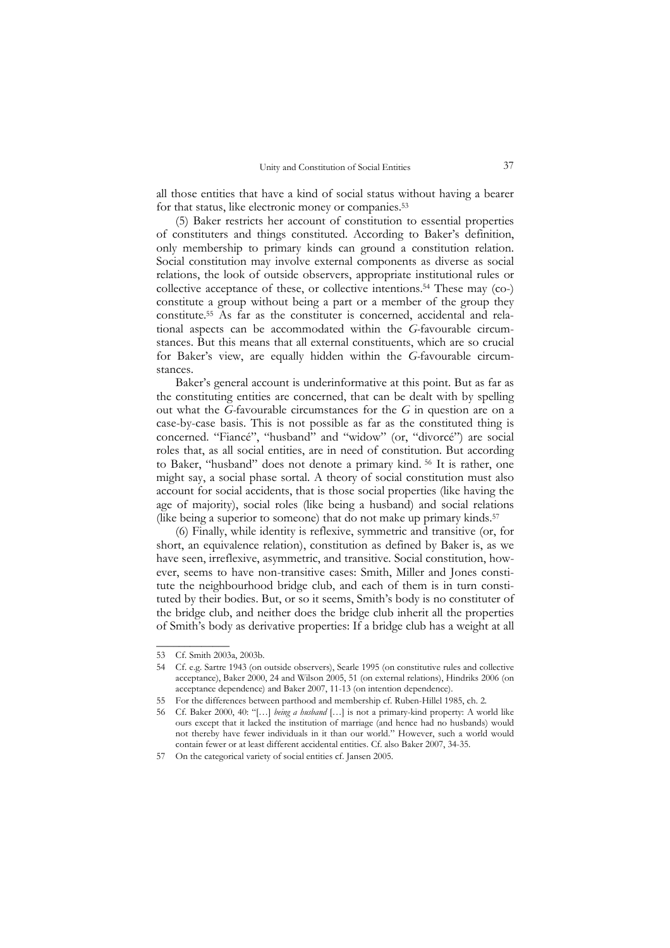all those entities that have a kind of social status without having a bearer for that status, like electronic money or companies.<sup>53</sup>

(5) Baker restricts her account of constitution to essential properties of constituters and things constituted. According to Baker's definition, only membership to primary kinds can ground a constitution relation. Social constitution may involve external components as diverse as social relations, the look of outside observers, appropriate institutional rules or collective acceptance of these, or collective intentions.54 These may (co-) constitute a group without being a part or a member of the group they constitute.55 As far as the constituter is concerned, accidental and relational aspects can be accommodated within the G-favourable circumstances. But this means that all external constituents, which are so crucial for Baker's view, are equally hidden within the G-favourable circumstances.

Baker's general account is underinformative at this point. But as far as the constituting entities are concerned, that can be dealt with by spelling out what the G-favourable circumstances for the G in question are on a case-by-case basis. This is not possible as far as the constituted thing is concerned. "Fiancé", "husband" and "widow" (or, "divorcé") are social roles that, as all social entities, are in need of constitution. But according to Baker, "husband" does not denote a primary kind. 56 It is rather, one might say, a social phase sortal. A theory of social constitution must also account for social accidents, that is those social properties (like having the age of majority), social roles (like being a husband) and social relations (like being a superior to someone) that do not make up primary kinds.<sup>57</sup>

(6) Finally, while identity is reflexive, symmetric and transitive (or, for short, an equivalence relation), constitution as defined by Baker is, as we have seen, irreflexive, asymmetric, and transitive. Social constitution, however, seems to have non-transitive cases: Smith, Miller and Jones constitute the neighbourhood bridge club, and each of them is in turn constituted by their bodies. But, or so it seems, Smith's body is no constituter of the bridge club, and neither does the bridge club inherit all the properties of Smith's body as derivative properties: If a bridge club has a weight at all

<sup>53</sup> Cf. Smith 2003a, 2003b.

<sup>54</sup> Cf. e.g. Sartre 1943 (on outside observers), Searle 1995 (on constitutive rules and collective acceptance), Baker 2000, 24 and Wilson 2005, 51 (on external relations), Hindriks 2006 (on acceptance dependence) and Baker 2007, 11-13 (on intention dependence).

<sup>55</sup> For the differences between parthood and membership cf. Ruben-Hillel 1985, ch. 2.

<sup>56</sup> Cf. Baker 2000, 40: "[…] being a husband […] is not a primary-kind property: A world like ours except that it lacked the institution of marriage (and hence had no husbands) would not thereby have fewer individuals in it than our world." However, such a world would contain fewer or at least different accidental entities. Cf. also Baker 2007, 34-35.

<sup>57</sup> On the categorical variety of social entities cf. Jansen 2005.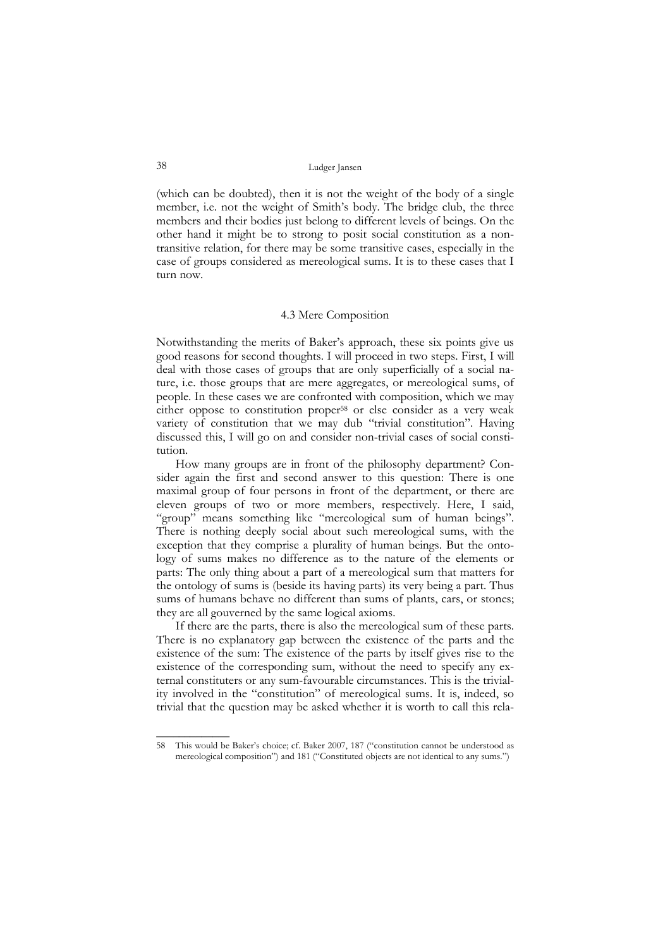(which can be doubted), then it is not the weight of the body of a single member, i.e. not the weight of Smith's body. The bridge club, the three members and their bodies just belong to different levels of beings. On the other hand it might be to strong to posit social constitution as a nontransitive relation, for there may be some transitive cases, especially in the case of groups considered as mereological sums. It is to these cases that I turn now.

#### 4.3 Mere Composition

Notwithstanding the merits of Baker's approach, these six points give us good reasons for second thoughts. I will proceed in two steps. First, I will deal with those cases of groups that are only superficially of a social nature, i.e. those groups that are mere aggregates, or mereological sums, of people. In these cases we are confronted with composition, which we may either oppose to constitution proper58 or else consider as a very weak variety of constitution that we may dub "trivial constitution". Having discussed this, I will go on and consider non-trivial cases of social constitution.

How many groups are in front of the philosophy department? Consider again the first and second answer to this question: There is one maximal group of four persons in front of the department, or there are eleven groups of two or more members, respectively. Here, I said, "group" means something like "mereological sum of human beings". There is nothing deeply social about such mereological sums, with the exception that they comprise a plurality of human beings. But the ontology of sums makes no difference as to the nature of the elements or parts: The only thing about a part of a mereological sum that matters for the ontology of sums is (beside its having parts) its very being a part. Thus sums of humans behave no different than sums of plants, cars, or stones; they are all gouverned by the same logical axioms.

If there are the parts, there is also the mereological sum of these parts. There is no explanatory gap between the existence of the parts and the existence of the sum: The existence of the parts by itself gives rise to the existence of the corresponding sum, without the need to specify any external constituters or any sum-favourable circumstances. This is the triviality involved in the "constitution" of mereological sums. It is, indeed, so trivial that the question may be asked whether it is worth to call this rela-

<sup>58</sup> This would be Baker's choice; cf. Baker 2007, 187 ("constitution cannot be understood as mereological composition") and 181 ("Constituted objects are not identical to any sums.")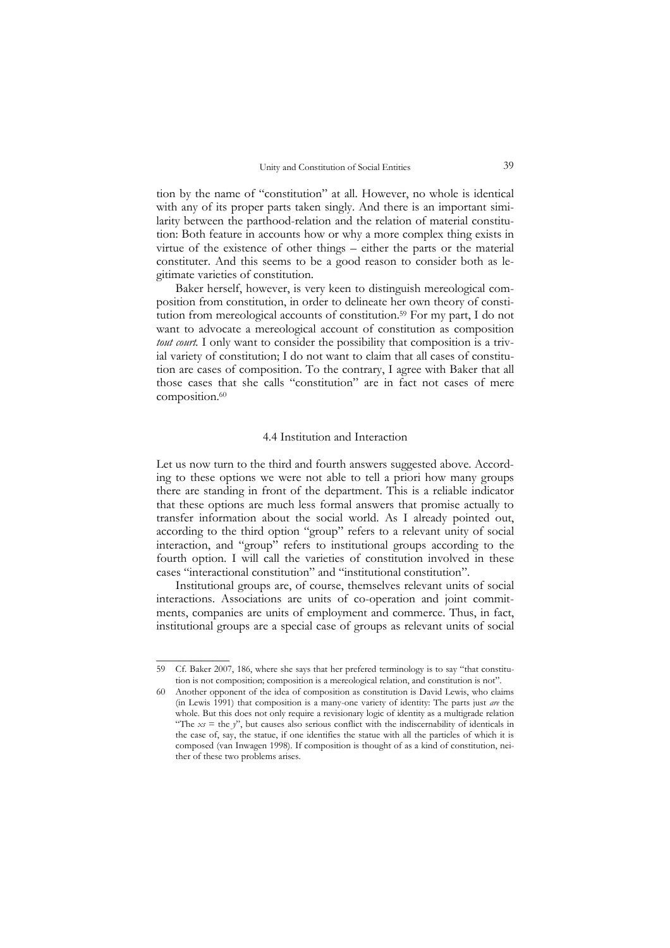tion by the name of "constitution" at all. However, no whole is identical with any of its proper parts taken singly. And there is an important similarity between the parthood-relation and the relation of material constitution: Both feature in accounts how or why a more complex thing exists in virtue of the existence of other things – either the parts or the material constituter. And this seems to be a good reason to consider both as legitimate varieties of constitution.

Baker herself, however, is very keen to distinguish mereological composition from constitution, in order to delineate her own theory of constitution from mereological accounts of constitution.59 For my part, I do not want to advocate a mereological account of constitution as composition tout court. I only want to consider the possibility that composition is a trivial variety of constitution; I do not want to claim that all cases of constitution are cases of composition. To the contrary, I agree with Baker that all those cases that she calls "constitution" are in fact not cases of mere composition.<sup>60</sup>

#### 4.4 Institution and Interaction

Let us now turn to the third and fourth answers suggested above. According to these options we were not able to tell a priori how many groups there are standing in front of the department. This is a reliable indicator that these options are much less formal answers that promise actually to transfer information about the social world. As I already pointed out, according to the third option "group" refers to a relevant unity of social interaction, and "group" refers to institutional groups according to the fourth option. I will call the varieties of constitution involved in these cases "interactional constitution" and "institutional constitution".

Institutional groups are, of course, themselves relevant units of social interactions. Associations are units of co-operation and joint commitments, companies are units of employment and commerce. Thus, in fact, institutional groups are a special case of groups as relevant units of social

<sup>59</sup> Cf. Baker 2007, 186, where she says that her prefered terminology is to say "that constitution is not composition; composition is a mereological relation, and constitution is not".

<sup>60</sup> Another opponent of the idea of composition as constitution is David Lewis, who claims (in Lewis 1991) that composition is a many-one variety of identity: The parts just are the whole. But this does not only require a revisionary logic of identity as a multigrade relation "The  $xs =$  the  $\gamma$ ", but causes also serious conflict with the indiscernability of identicals in the case of, say, the statue, if one identifies the statue with all the particles of which it is composed (van Inwagen 1998). If composition is thought of as a kind of constitution, neither of these two problems arises.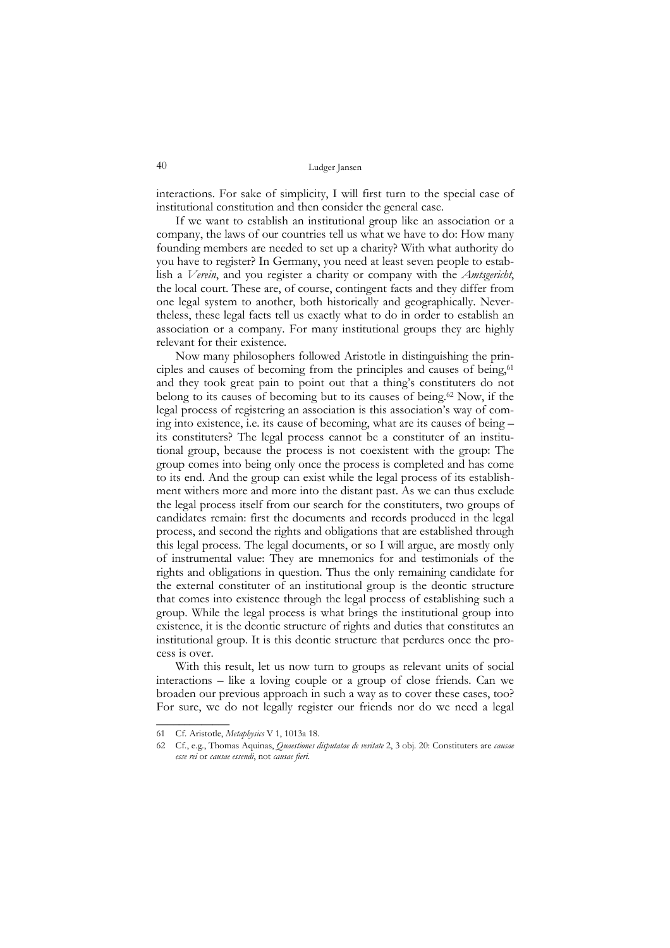interactions. For sake of simplicity, I will first turn to the special case of institutional constitution and then consider the general case.

If we want to establish an institutional group like an association or a company, the laws of our countries tell us what we have to do: How many founding members are needed to set up a charity? With what authority do you have to register? In Germany, you need at least seven people to establish a *Verein*, and you register a charity or company with the *Amtsgericht*, the local court. These are, of course, contingent facts and they differ from one legal system to another, both historically and geographically. Nevertheless, these legal facts tell us exactly what to do in order to establish an association or a company. For many institutional groups they are highly relevant for their existence.

Now many philosophers followed Aristotle in distinguishing the principles and causes of becoming from the principles and causes of being,<sup>61</sup> and they took great pain to point out that a thing's constituters do not belong to its causes of becoming but to its causes of being.<sup>62</sup> Now, if the legal process of registering an association is this association's way of coming into existence, i.e. its cause of becoming, what are its causes of being – its constituters? The legal process cannot be a constituter of an institutional group, because the process is not coexistent with the group: The group comes into being only once the process is completed and has come to its end. And the group can exist while the legal process of its establishment withers more and more into the distant past. As we can thus exclude the legal process itself from our search for the constituters, two groups of candidates remain: first the documents and records produced in the legal process, and second the rights and obligations that are established through this legal process. The legal documents, or so I will argue, are mostly only of instrumental value: They are mnemonics for and testimonials of the rights and obligations in question. Thus the only remaining candidate for the external constituter of an institutional group is the deontic structure that comes into existence through the legal process of establishing such a group. While the legal process is what brings the institutional group into existence, it is the deontic structure of rights and duties that constitutes an institutional group. It is this deontic structure that perdures once the process is over.

With this result, let us now turn to groups as relevant units of social interactions – like a loving couple or a group of close friends. Can we broaden our previous approach in such a way as to cover these cases, too? For sure, we do not legally register our friends nor do we need a legal

<sup>61</sup> Cf. Aristotle, Metaphysics V 1, 1013a 18.

<sup>62</sup> Cf., e.g., Thomas Aquinas, Quaestiones disputatae de veritate 2, 3 obj. 20: Constituters are causae esse rei or causae essendi, not causae fieri.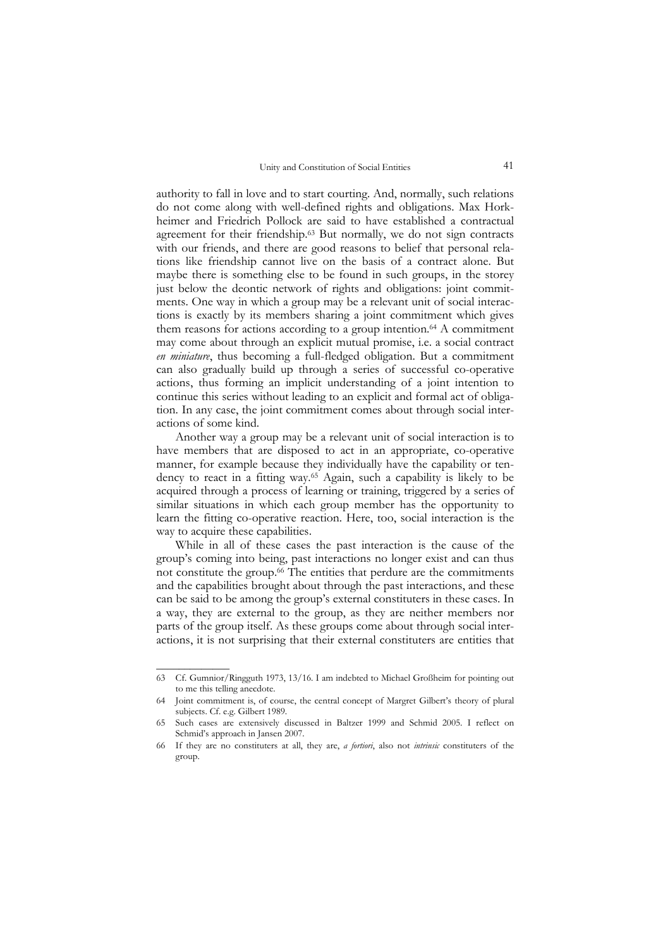authority to fall in love and to start courting. And, normally, such relations do not come along with well-defined rights and obligations. Max Horkheimer and Friedrich Pollock are said to have established a contractual agreement for their friendship.63 But normally, we do not sign contracts with our friends, and there are good reasons to belief that personal relations like friendship cannot live on the basis of a contract alone. But maybe there is something else to be found in such groups, in the storey just below the deontic network of rights and obligations: joint commitments. One way in which a group may be a relevant unit of social interactions is exactly by its members sharing a joint commitment which gives them reasons for actions according to a group intention.64 A commitment may come about through an explicit mutual promise, i.e. a social contract en miniature, thus becoming a full-fledged obligation. But a commitment can also gradually build up through a series of successful co-operative actions, thus forming an implicit understanding of a joint intention to continue this series without leading to an explicit and formal act of obligation. In any case, the joint commitment comes about through social interactions of some kind.

Another way a group may be a relevant unit of social interaction is to have members that are disposed to act in an appropriate, co-operative manner, for example because they individually have the capability or tendency to react in a fitting way.65 Again, such a capability is likely to be acquired through a process of learning or training, triggered by a series of similar situations in which each group member has the opportunity to learn the fitting co-operative reaction. Here, too, social interaction is the way to acquire these capabilities.

While in all of these cases the past interaction is the cause of the group's coming into being, past interactions no longer exist and can thus not constitute the group.66 The entities that perdure are the commitments and the capabilities brought about through the past interactions, and these can be said to be among the group's external constituters in these cases. In a way, they are external to the group, as they are neither members nor parts of the group itself. As these groups come about through social interactions, it is not surprising that their external constituters are entities that

<sup>63</sup> Cf. Gumnior/Ringguth 1973, 13/16. I am indebted to Michael Großheim for pointing out to me this telling anecdote.

<sup>64</sup> Joint commitment is, of course, the central concept of Margret Gilbert's theory of plural subjects. Cf. e.g. Gilbert 1989.

<sup>65</sup> Such cases are extensively discussed in Baltzer 1999 and Schmid 2005. I reflect on Schmid's approach in Jansen 2007.

<sup>66</sup> If they are no constituters at all, they are, a fortiori, also not intrinsic constituters of the group.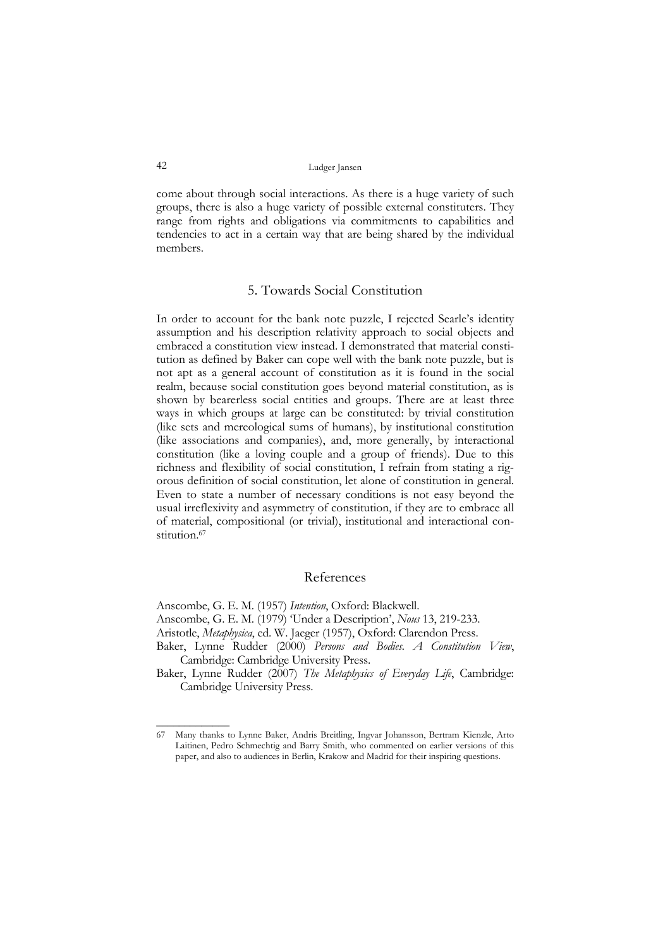come about through social interactions. As there is a huge variety of such groups, there is also a huge variety of possible external constituters. They range from rights and obligations via commitments to capabilities and tendencies to act in a certain way that are being shared by the individual members.

# 5. Towards Social Constitution

In order to account for the bank note puzzle, I rejected Searle's identity assumption and his description relativity approach to social objects and embraced a constitution view instead. I demonstrated that material constitution as defined by Baker can cope well with the bank note puzzle, but is not apt as a general account of constitution as it is found in the social realm, because social constitution goes beyond material constitution, as is shown by bearerless social entities and groups. There are at least three ways in which groups at large can be constituted: by trivial constitution (like sets and mereological sums of humans), by institutional constitution (like associations and companies), and, more generally, by interactional constitution (like a loving couple and a group of friends). Due to this richness and flexibility of social constitution, I refrain from stating a rigorous definition of social constitution, let alone of constitution in general. Even to state a number of necessary conditions is not easy beyond the usual irreflexivity and asymmetry of constitution, if they are to embrace all of material, compositional (or trivial), institutional and interactional constitution.<sup>67</sup>

### References

Anscombe, G. E. M. (1957) Intention, Oxford: Blackwell.

\_\_\_\_\_\_\_\_\_\_\_\_\_

Anscombe, G. E. M. (1979) 'Under a Description', Nous 13, 219-233.

Aristotle, Metaphysica, ed. W. Jaeger (1957), Oxford: Clarendon Press.

Baker, Lynne Rudder (2000) Persons and Bodies. A Constitution View, Cambridge: Cambridge University Press.

Baker, Lynne Rudder (2007) The Metaphysics of Everyday Life, Cambridge: Cambridge University Press.

<sup>67</sup> Many thanks to Lynne Baker, Andris Breitling, Ingvar Johansson, Bertram Kienzle, Arto Laitinen, Pedro Schmechtig and Barry Smith, who commented on earlier versions of this paper, and also to audiences in Berlin, Krakow and Madrid for their inspiring questions.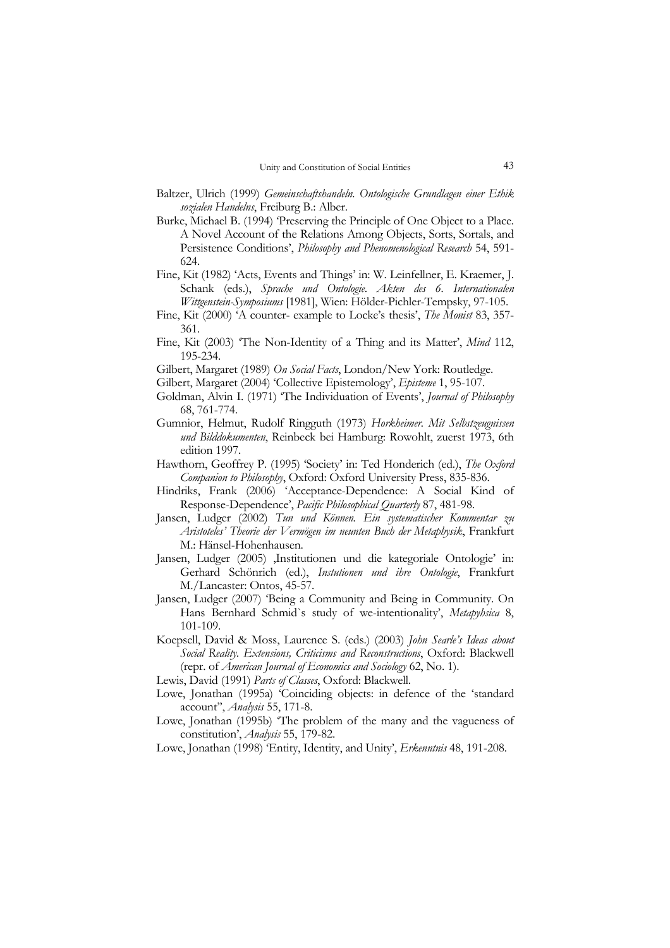- Baltzer, Ulrich (1999) Gemeinschaftshandeln. Ontologische Grundlagen einer Ethik sozialen Handelns, Freiburg B.: Alber.
- Burke, Michael B. (1994) 'Preserving the Principle of One Object to a Place. A Novel Account of the Relations Among Objects, Sorts, Sortals, and Persistence Conditions', Philosophy and Phenomenological Research 54, 591-624.
- Fine, Kit (1982) 'Acts, Events and Things' in: W. Leinfellner, E. Kraemer, J. Schank (eds.), Sprache und Ontologie. Akten des 6. Internationalen Wittgenstein-Symposiums [1981], Wien: Hölder-Pichler-Tempsky, 97-105.
- Fine, Kit (2000) 'A counter- example to Locke's thesis', The Monist 83, 357- 361.
- Fine, Kit (2003) 'The Non-Identity of a Thing and its Matter', Mind 112, 195-234.
- Gilbert, Margaret (1989) On Social Facts, London/New York: Routledge.
- Gilbert, Margaret (2004) 'Collective Epistemology', Episteme 1, 95-107.
- Goldman, Alvin I. (1971) 'The Individuation of Events', Journal of Philosophy 68, 761-774.
- Gumnior, Helmut, Rudolf Ringguth (1973) Horkheimer. Mit Selbstzeugnissen und Bilddokumenten, Reinbeck bei Hamburg: Rowohlt, zuerst 1973, 6th edition 1997.
- Hawthorn, Geoffrey P. (1995) 'Society' in: Ted Honderich (ed.), The Oxford Companion to Philosophy, Oxford: Oxford University Press, 835-836.
- Hindriks, Frank (2006) 'Acceptance-Dependence: A Social Kind of Response-Dependence', Pacific Philosophical Quarterly 87, 481-98.
- Jansen, Ludger (2002) Tun und Können. Ein systematischer Kommentar zu Aristoteles' Theorie der Vermögen im neunten Buch der Metaphysik, Frankfurt M.: Hänsel-Hohenhausen.
- Jansen, Ludger (2005) ,Institutionen und die kategoriale Ontologie' in: Gerhard Schönrich (ed.), Instutionen und ihre Ontologie, Frankfurt M./Lancaster: Ontos, 45-57.
- Jansen, Ludger (2007) 'Being a Community and Being in Community. On Hans Bernhard Schmid`s study of we-intentionality', Metapyhsica 8, 101-109.
- Koepsell, David & Moss, Laurence S. (eds.) (2003) John Searle's Ideas about Social Reality. Extensions, Criticisms and Reconstructions, Oxford: Blackwell (repr. of American Journal of Economics and Sociology 62, No. 1).
- Lewis, David (1991) Parts of Classes, Oxford: Blackwell.
- Lowe, Jonathan (1995a) 'Coinciding objects: in defence of the 'standard account'', Analysis 55, 171-8.
- Lowe, Jonathan (1995b) 'The problem of the many and the vagueness of constitution', Analysis 55, 179-82.
- Lowe, Jonathan (1998) 'Entity, Identity, and Unity', Erkenntnis 48, 191-208.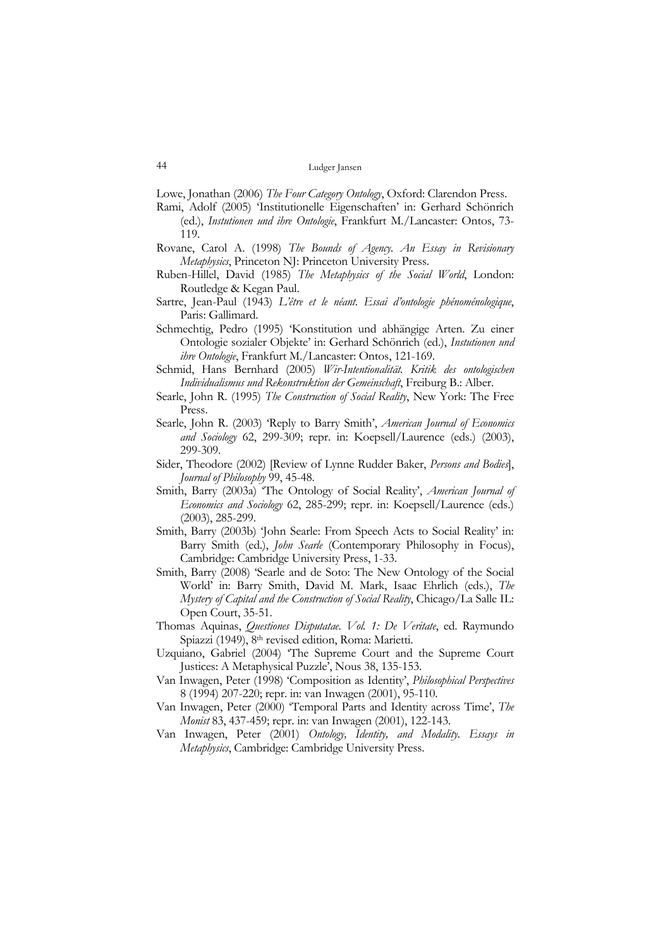Lowe, Jonathan (2006) The Four Category Ontology, Oxford: Clarendon Press.

- Rami, Adolf (2005) 'Institutionelle Eigenschaften' in: Gerhard Schönrich (ed.), Instutionen und ihre Ontologie, Frankfurt M./Lancaster: Ontos, 73- 119.
- Rovane, Carol A. (1998) The Bounds of Agency. An Essay in Revisionary Metaphysics, Princeton NJ: Princeton University Press.
- Ruben-Hillel, David (1985) The Metaphysics of the Social World, London: Routledge & Kegan Paul.
- Sartre, Jean-Paul (1943) L'être et le néant. Essai d'ontologie phénoménologique, Paris: Gallimard.
- Schmechtig, Pedro (1995) 'Konstitution und abhängige Arten. Zu einer Ontologie sozialer Objekte' in: Gerhard Schönrich (ed.), Instutionen und ihre Ontologie, Frankfurt M./Lancaster: Ontos, 121-169.
- Schmid, Hans Bernhard (2005) Wir-Intentionalität. Kritik des ontologischen Individualismus und Rekonstruktion der Gemeinschaft, Freiburg B.: Alber.
- Searle, John R. (1995) The Construction of Social Reality, New York: The Free Press.
- Searle, John R. (2003) 'Reply to Barry Smith', American Journal of Economics and Sociology 62, 299-309; repr. in: Koepsell/Laurence (eds.) (2003), 299-309.
- Sider, Theodore (2002) [Review of Lynne Rudder Baker, *Persons and Bodies*], Journal of Philosophy 99, 45-48.
- Smith, Barry (2003a) 'The Ontology of Social Reality', American Journal of Economics and Sociology 62, 285-299; repr. in: Koepsell/Laurence (eds.) (2003), 285-299.
- Smith, Barry (2003b) 'John Searle: From Speech Acts to Social Reality' in: Barry Smith (ed.), John Searle (Contemporary Philosophy in Focus), Cambridge: Cambridge University Press, 1-33.
- Smith, Barry (2008) 'Searle and de Soto: The New Ontology of the Social World' in: Barry Smith, David M. Mark, Isaac Ehrlich (eds.), The Mystery of Capital and the Construction of Social Reality, Chicago/La Salle IL: Open Court, 35-51.
- Thomas Aquinas, Questiones Disputatae. Vol. 1: De Veritate, ed. Raymundo Spiazzi (1949), 8th revised edition, Roma: Marietti.
- Uzquiano, Gabriel (2004) 'The Supreme Court and the Supreme Court Justices: A Metaphysical Puzzle', Nous 38, 135-153.
- Van Inwagen, Peter (1998) 'Composition as Identity', Philosophical Perspectives 8 (1994) 207-220; repr. in: van Inwagen (2001), 95-110.
- Van Inwagen, Peter (2000) 'Temporal Parts and Identity across Time', The Monist 83, 437-459; repr. in: van Inwagen (2001), 122-143.
- Van Inwagen, Peter (2001) Ontology, Identity, and Modality. Essays in Metaphysics, Cambridge: Cambridge University Press.